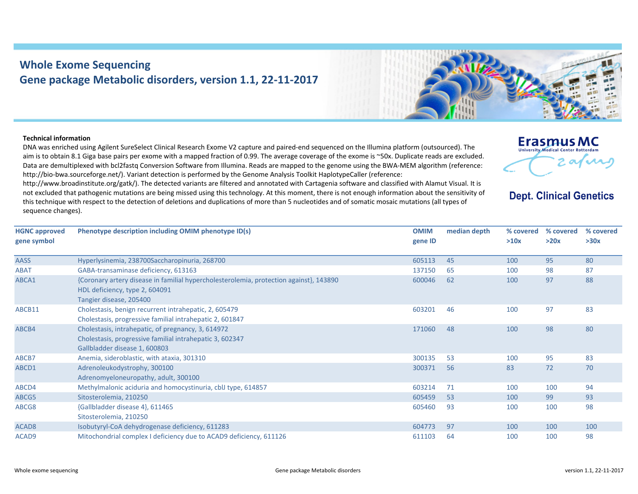## **Whole Exome Sequencing Gene package Metabolic disorders, version 1.1, 22‐11‐2017**



## **Technical information**

DNA was enriched using Agilent SureSelect Clinical Research Exome V2 capture and paired‐end sequenced on the Illumina platform (outsourced). The aim is to obtain 8.1 Giga base pairs per exome with <sup>a</sup> mapped fraction of 0.99. The average coverage of the exome is ~50x. Duplicate reads are excluded. Data are demultiplexed with bcl2fastq Conversion Software from Illumina. Reads are mapped to the genome using the BWA‐MEM algorithm (reference: http://bio-bwa.sourceforge.net/). Variant detection is performed by the Genome Analysis Toolkit HaplotypeCaller (reference:

http://www.broadinstitute.org/gatk/). The detected variants are filtered and annotated with Cartagenia software and classified with Alamut Visual. It is not excluded that pathogenic mutations are being missed using this technology. At this moment, there is not enough information about the sensitivity of this technique with respect to the detection of deletions and duplications of more than 5 nucleotides and of somatic mosaic mutations (all types of sequence changes).



**Dept. Clinical Genetics** 

| <b>HGNC approved</b> | Phenotype description including OMIM phenotype ID(s)                                   | <b>OMIM</b> | median depth | % covered | % covered | % covered |
|----------------------|----------------------------------------------------------------------------------------|-------------|--------------|-----------|-----------|-----------|
| gene symbol          |                                                                                        | gene ID     |              | >10x      | >20x      | >30x      |
|                      |                                                                                        |             |              |           |           |           |
| <b>AASS</b>          | Hyperlysinemia, 238700Saccharopinuria, 268700                                          | 605113      | 45           | 100       | 95        | 80        |
| <b>ABAT</b>          | GABA-transaminase deficiency, 613163                                                   | 137150      | 65           | 100       | 98        | 87        |
| ABCA1                | {Coronary artery disease in familial hypercholesterolemia, protection against}, 143890 | 600046      | 62           | 100       | 97        | 88        |
|                      | HDL deficiency, type 2, 604091                                                         |             |              |           |           |           |
|                      | Tangier disease, 205400                                                                |             |              |           |           |           |
| ABCB11               | Cholestasis, benign recurrent intrahepatic, 2, 605479                                  | 603201      | 46           | 100       | 97        | 83        |
|                      | Cholestasis, progressive familial intrahepatic 2, 601847                               |             |              |           |           |           |
| ABCB4                | Cholestasis, intrahepatic, of pregnancy, 3, 614972                                     | 171060      | 48           | 100       | 98        | 80        |
|                      | Cholestasis, progressive familial intrahepatic 3, 602347                               |             |              |           |           |           |
|                      | Gallbladder disease 1, 600803                                                          |             |              |           |           |           |
| ABCB7                | Anemia, sideroblastic, with ataxia, 301310                                             | 300135      | 53           | 100       | 95        | 83        |
| ABCD1                | Adrenoleukodystrophy, 300100                                                           | 300371      | 56           | 83        | 72        | 70        |
|                      | Adrenomyeloneuropathy, adult, 300100                                                   |             |              |           |           |           |
| ABCD4                | Methylmalonic aciduria and homocystinuria, cblJ type, 614857                           | 603214      | 71           | 100       | 100       | 94        |
| ABCG5                | Sitosterolemia, 210250                                                                 | 605459      | 53           | 100       | 99        | 93        |
| ABCG8                | {Gallbladder disease 4}, 611465                                                        | 605460      | 93           | 100       | 100       | 98        |
|                      | Sitosterolemia, 210250                                                                 |             |              |           |           |           |
| ACAD <sub>8</sub>    | Isobutyryl-CoA dehydrogenase deficiency, 611283                                        | 604773      | 97           | 100       | 100       | 100       |
| ACAD9                | Mitochondrial complex I deficiency due to ACAD9 deficiency, 611126                     | 611103      | 64           | 100       | 100       | 98        |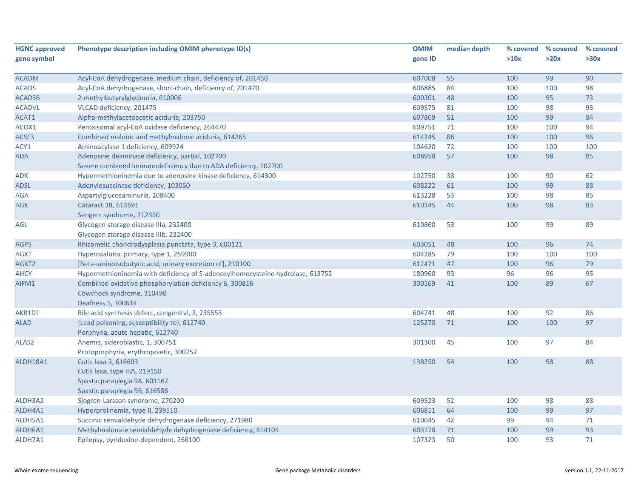| <b>HGNC approved</b> | Phenotype description including OMIM phenotype ID(s)                           | <b>OMIM</b> | median depth |      | % covered % covered | % covered |
|----------------------|--------------------------------------------------------------------------------|-------------|--------------|------|---------------------|-----------|
| gene symbol          |                                                                                | gene ID     |              | >10x | >20x                | >30x      |
|                      |                                                                                |             |              |      |                     |           |
| <b>ACADM</b>         | Acyl-CoA dehydrogenase, medium chain, deficiency of, 201450                    | 607008      | 55           | 100  | 99                  | 90        |
| <b>ACADS</b>         | Acyl-CoA dehydrogenase, short-chain, deficiency of, 201470                     | 606885      | 84           | 100  | 100                 | 98        |
| <b>ACADSB</b>        | 2-methylbutyrylglycinuria, 610006                                              | 600301      | 48           | 100  | 95                  | 73        |
| <b>ACADVL</b>        | VLCAD deficiency, 201475                                                       | 609575      | 81           | 100  | 98                  | 93        |
| ACAT1                | Alpha-methylacetoacetic aciduria, 203750                                       | 607809      | 51           | 100  | 99                  | 84        |
| ACOX1                | Peroxisomal acyl-CoA oxidase deficiency, 264470                                | 609751      | 71           | 100  | 100                 | 94        |
| ACSF3                | Combined malonic and methylmalonic aciduria, 614265                            | 614245      | 86           | 100  | 100                 | 96        |
| ACY1                 | Aminoacylase 1 deficiency, 609924                                              | 104620      | 72           | 100  | 100                 | 100       |
| <b>ADA</b>           | Adenosine deaminase deficiency, partial, 102700                                | 608958      | 57           | 100  | 98                  | 85        |
|                      | Severe combined immunodeficiency due to ADA deficiency, 102700                 |             |              |      |                     |           |
| ADK                  | Hypermethioninemia due to adenosine kinase deficiency, 614300                  | 102750      | 38           | 100  | 90                  | 62        |
| <b>ADSL</b>          | Adenylosuccinase deficiency, 103050                                            | 608222      | 61           | 100  | 99                  | 88        |
| AGA                  | Aspartylglucosaminuria, 208400                                                 | 613228      | 53           | 100  | 98                  | 85        |
| <b>AGK</b>           | Cataract 38, 614691                                                            | 610345      | 44           | 100  | 98                  | 83        |
|                      | Sengers syndrome, 212350                                                       |             |              |      |                     |           |
| AGL                  | Glycogen storage disease IIIa, 232400                                          | 610860      | 53           | 100  | 99                  | 89        |
|                      | Glycogen storage disease IIIb, 232400                                          |             |              |      |                     |           |
| <b>AGPS</b>          | Rhizomelic chondrodysplasia punctata, type 3, 600121                           | 603051      | 48           | 100  | 96                  | 74        |
| <b>AGXT</b>          | Hyperoxaluria, primary, type 1, 259900                                         | 604285      | 79           | 100  | 100                 | 100       |
| AGXT2                | [Beta-aminoisobutyric acid, urinary excretion of], 210100                      | 612471      | 47           | 100  | 96                  | 79        |
| <b>AHCY</b>          | Hypermethioninemia with deficiency of S-adenosylhomocysteine hydrolase, 613752 | 180960      | 93           | 96   | 96                  | 95        |
| AIFM1                | Combined oxidative phosphorylation deficiency 6, 300816                        | 300169      | 41           | 100  | 89                  | 67        |
|                      | Cowchock syndrome, 310490                                                      |             |              |      |                     |           |
|                      | Deafness 5, 300614                                                             |             |              |      |                     |           |
| AKR1D1               | Bile acid synthesis defect, congenital, 2, 235555                              | 604741      | 48           | 100  | 92                  | 86        |
| <b>ALAD</b>          | {Lead poisoning, susceptibility to}, 612740                                    | 125270      | 71           | 100  | 100                 | 97        |
|                      | Porphyria, acute hepatic, 612740                                               |             |              |      |                     |           |
| ALAS <sub>2</sub>    | Anemia, sideroblastic, 1, 300751                                               | 301300      | 45           | 100  | 97                  | 84        |
|                      | Protoporphyria, erythropoietic, 300752                                         |             |              |      |                     |           |
| ALDH18A1             | Cutis laxa 3, 616603                                                           | 138250      | 54           | 100  | 98                  | 88        |
|                      | Cutis laxa, type IIIA, 219150                                                  |             |              |      |                     |           |
|                      | Spastic paraplegia 9A, 601162                                                  |             |              |      |                     |           |
|                      | Spastic paraplegia 9B, 616586                                                  |             |              |      |                     |           |
| ALDH3A2              | Sjogren-Larsson syndrome, 270200                                               | 609523      | 52           | 100  | 98                  | 88        |
| ALDH4A1              | Hyperprolinemia, type II, 239510                                               | 606811      | 64           | 100  | 99                  | 97        |
| ALDH5A1              | Succinic semialdehyde dehydrogenase deficiency, 271980                         | 610045      | 42           | 99   | 94                  | 71        |
| ALDH6A1              | Methylmalonate semialdehyde dehydrogenase deficiency, 614105                   | 603178      | 71           | 100  | 99                  | 93        |
| ALDH7A1              | Epilepsy, pyridoxine-dependent, 266100                                         | 107323      | 50           | 100  | 93                  | 71        |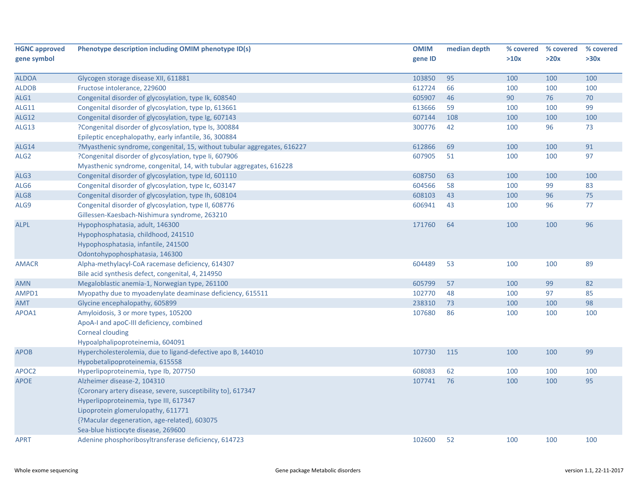| <b>HGNC approved</b> | Phenotype description including OMIM phenotype ID(s)                     | <b>OMIM</b> | median depth | % covered | % covered | % covered |
|----------------------|--------------------------------------------------------------------------|-------------|--------------|-----------|-----------|-----------|
| gene symbol          |                                                                          | gene ID     |              | >10x      | >20x      | >30x      |
|                      |                                                                          |             |              |           |           |           |
| <b>ALDOA</b>         | Glycogen storage disease XII, 611881                                     | 103850      | 95           | 100       | 100       | 100       |
| <b>ALDOB</b>         | Fructose intolerance, 229600                                             | 612724      | 66           | 100       | 100       | 100       |
| ALG1                 | Congenital disorder of glycosylation, type Ik, 608540                    | 605907      | 46           | 90        | 76        | 70        |
| <b>ALG11</b>         | Congenital disorder of glycosylation, type Ip, 613661                    | 613666      | 59           | 100       | 100       | 99        |
| <b>ALG12</b>         | Congenital disorder of glycosylation, type Ig, 607143                    | 607144      | 108          | 100       | 100       | 100       |
| <b>ALG13</b>         | ?Congenital disorder of glycosylation, type Is, 300884                   | 300776      | 42           | 100       | 96        | 73        |
|                      | Epileptic encephalopathy, early infantile, 36, 300884                    |             |              |           |           |           |
| ALG14                | ?Myasthenic syndrome, congenital, 15, without tubular aggregates, 616227 | 612866      | 69           | 100       | 100       | 91        |
| ALG <sub>2</sub>     | ?Congenital disorder of glycosylation, type Ii, 607906                   | 607905      | 51           | 100       | 100       | 97        |
|                      | Myasthenic syndrome, congenital, 14, with tubular aggregates, 616228     |             |              |           |           |           |
| ALG3                 | Congenital disorder of glycosylation, type Id, 601110                    | 608750      | 63           | 100       | 100       | 100       |
| ALG6                 | Congenital disorder of glycosylation, type Ic, 603147                    | 604566      | 58           | 100       | 99        | 83        |
| ALG8                 | Congenital disorder of glycosylation, type Ih, 608104                    | 608103      | 43           | 100       | 96        | 75        |
| ALG9                 | Congenital disorder of glycosylation, type II, 608776                    | 606941      | 43           | 100       | 96        | 77        |
|                      | Gillessen-Kaesbach-Nishimura syndrome, 263210                            |             |              |           |           |           |
| <b>ALPL</b>          | Hypophosphatasia, adult, 146300                                          | 171760      | 64           | 100       | 100       | 96        |
|                      | Hypophosphatasia, childhood, 241510                                      |             |              |           |           |           |
|                      | Hypophosphatasia, infantile, 241500                                      |             |              |           |           |           |
|                      | Odontohypophosphatasia, 146300                                           |             |              |           |           |           |
| <b>AMACR</b>         | Alpha-methylacyl-CoA racemase deficiency, 614307                         | 604489      | 53           | 100       | 100       | 89        |
|                      | Bile acid synthesis defect, congenital, 4, 214950                        |             |              |           |           |           |
| <b>AMN</b>           | Megaloblastic anemia-1, Norwegian type, 261100                           | 605799      | 57           | 100       | 99        | 82        |
| AMPD1                | Myopathy due to myoadenylate deaminase deficiency, 615511                | 102770      | 48           | 100       | 97        | 85        |
| <b>AMT</b>           | Glycine encephalopathy, 605899                                           | 238310      | 73           | 100       | 100       | 98        |
| APOA1                | Amyloidosis, 3 or more types, 105200                                     | 107680      | 86           | 100       | 100       | 100       |
|                      | ApoA-I and apoC-III deficiency, combined                                 |             |              |           |           |           |
|                      | <b>Corneal clouding</b>                                                  |             |              |           |           |           |
|                      | Hypoalphalipoproteinemia, 604091                                         |             |              |           |           |           |
| <b>APOB</b>          | Hypercholesterolemia, due to ligand-defective apo B, 144010              | 107730      | 115          | 100       | 100       | 99        |
|                      | Hypobetalipoproteinemia, 615558                                          |             |              |           |           |           |
| APOC2                | Hyperlipoproteinemia, type Ib, 207750                                    | 608083      | 62           | 100       | 100       | 100       |
| <b>APOE</b>          | Alzheimer disease-2, 104310                                              | 107741      | 76           | 100       | 100       | 95        |
|                      | {Coronary artery disease, severe, susceptibility to}, 617347             |             |              |           |           |           |
|                      | Hyperlipoproteinemia, type III, 617347                                   |             |              |           |           |           |
|                      | Lipoprotein glomerulopathy, 611771                                       |             |              |           |           |           |
|                      | {?Macular degeneration, age-related}, 603075                             |             |              |           |           |           |
|                      | Sea-blue histiocyte disease, 269600                                      |             |              |           |           |           |
| <b>APRT</b>          | Adenine phosphoribosyltransferase deficiency, 614723                     | 102600      | 52           | 100       | 100       | 100       |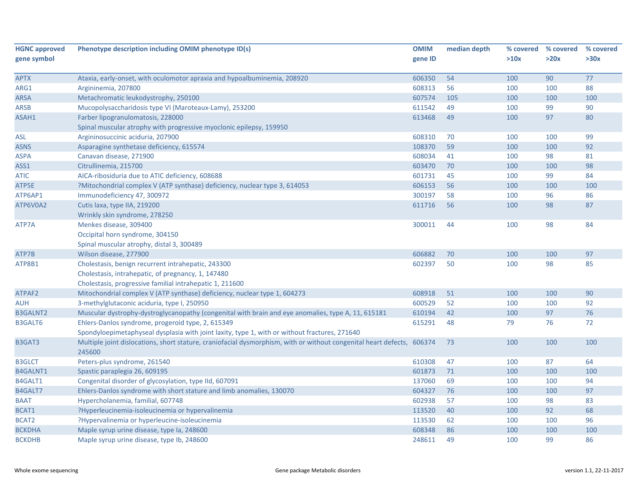| <b>HGNC approved</b> | Phenotype description including OMIM phenotype ID(s)                                                                   | <b>OMIM</b> | median depth | % covered | % covered | % covered |
|----------------------|------------------------------------------------------------------------------------------------------------------------|-------------|--------------|-----------|-----------|-----------|
| gene symbol          |                                                                                                                        | gene ID     |              | >10x      | >20x      | >30x      |
|                      |                                                                                                                        |             |              |           |           |           |
| <b>APTX</b>          | Ataxia, early-onset, with oculomotor apraxia and hypoalbuminemia, 208920                                               | 606350      | 54           | 100       | 90        | 77        |
| ARG1                 | Argininemia, 207800                                                                                                    | 608313      | 56           | 100       | 100       | 88        |
| <b>ARSA</b>          | Metachromatic leukodystrophy, 250100                                                                                   | 607574      | 105          | 100       | 100       | 100       |
| <b>ARSB</b>          | Mucopolysaccharidosis type VI (Maroteaux-Lamy), 253200                                                                 | 611542      | 49           | 100       | 99        | 90        |
| ASAH1                | Farber lipogranulomatosis, 228000                                                                                      | 613468      | 49           | 100       | 97        | 80        |
|                      | Spinal muscular atrophy with progressive myoclonic epilepsy, 159950                                                    |             |              |           |           |           |
| ASL                  | Argininosuccinic aciduria, 207900                                                                                      | 608310      | 70           | 100       | 100       | 99        |
| <b>ASNS</b>          | Asparagine synthetase deficiency, 615574                                                                               | 108370      | 59           | 100       | 100       | 92        |
| <b>ASPA</b>          | Canavan disease, 271900                                                                                                | 608034      | 41           | 100       | 98        | 81        |
| ASS1                 | Citrullinemia, 215700                                                                                                  | 603470      | 70           | 100       | 100       | 98        |
| ATIC                 | AICA-ribosiduria due to ATIC deficiency, 608688                                                                        | 601731      | 45           | 100       | 99        | 84        |
| ATP5E                | ?Mitochondrial complex V (ATP synthase) deficiency, nuclear type 3, 614053                                             | 606153      | 56           | 100       | 100       | 100       |
| ATP6AP1              | Immunodeficiency 47, 300972                                                                                            | 300197      | 58           | 100       | 96        | 86        |
| ATP6V0A2             | Cutis laxa, type IIA, 219200                                                                                           | 611716      | 56           | 100       | 98        | 87        |
|                      | Wrinkly skin syndrome, 278250                                                                                          |             |              |           |           |           |
| ATP7A                | Menkes disease, 309400                                                                                                 | 300011      | 44           | 100       | 98        | 84        |
|                      | Occipital horn syndrome, 304150                                                                                        |             |              |           |           |           |
|                      | Spinal muscular atrophy, distal 3, 300489                                                                              |             |              |           |           |           |
| ATP7B                | Wilson disease, 277900                                                                                                 | 606882      | 70           | 100       | 100       | 97        |
| ATP8B1               | Cholestasis, benign recurrent intrahepatic, 243300                                                                     | 602397      | 50           | 100       | 98        | 85        |
|                      | Cholestasis, intrahepatic, of pregnancy, 1, 147480                                                                     |             |              |           |           |           |
|                      | Cholestasis, progressive familial intrahepatic 1, 211600                                                               |             |              |           |           |           |
| ATPAF2               | Mitochondrial complex V (ATP synthase) deficiency, nuclear type 1, 604273                                              | 608918      | 51           | 100       | 100       | 90        |
| <b>AUH</b>           | 3-methylglutaconic aciduria, type I, 250950                                                                            | 600529      | 52           | 100       | 100       | 92        |
| <b>B3GALNT2</b>      | Muscular dystrophy-dystroglycanopathy (congenital with brain and eye anomalies, type A, 11, 615181                     | 610194      | 42           | 100       | 97        | 76        |
| <b>B3GALT6</b>       | Ehlers-Danlos syndrome, progeroid type, 2, 615349                                                                      | 615291      | 48           | 79        | 76        | 72        |
|                      | Spondyloepimetaphyseal dysplasia with joint laxity, type 1, with or without fractures, 271640                          |             |              |           |           |           |
| B3GAT3               | Multiple joint dislocations, short stature, craniofacial dysmorphism, with or without congenital heart defects, 606374 |             | 73           | 100       | 100       | 100       |
|                      | 245600                                                                                                                 |             |              |           |           |           |
| <b>B3GLCT</b>        | Peters-plus syndrome, 261540                                                                                           | 610308      | 47           | 100       | 87        | 64        |
| <b>B4GALNT1</b>      | Spastic paraplegia 26, 609195                                                                                          | 601873      | 71           | 100       | 100       | 100       |
| B4GALT1              | Congenital disorder of glycosylation, type IId, 607091                                                                 | 137060      | 69           | 100       | 100       | 94        |
| B4GALT7              | Ehlers-Danlos syndrome with short stature and limb anomalies, 130070                                                   | 604327      | 76           | 100       | 100       | 97        |
| <b>BAAT</b>          | Hypercholanemia, familial, 607748                                                                                      | 602938      | 57           | 100       | 98        | 83        |
| BCAT1                | ?Hyperleucinemia-isoleucinemia or hypervalinemia                                                                       | 113520      | 40           | 100       | 92        | 68        |
| BCAT2                | ?Hypervalinemia or hyperleucine-isoleucinemia                                                                          | 113530      | 62           | 100       | 100       | 96        |
| <b>BCKDHA</b>        | Maple syrup urine disease, type Ia, 248600                                                                             | 608348      | 86           | 100       | 100       | 100       |
| <b>BCKDHB</b>        | Maple syrup urine disease, type Ib, 248600                                                                             | 248611      | 49           | 100       | 99        | 86        |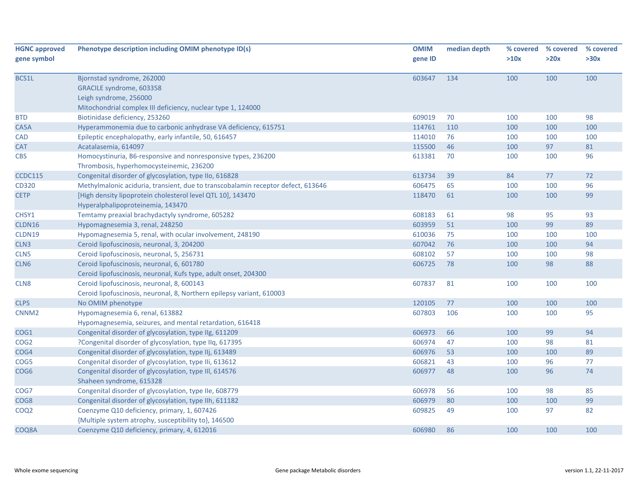| <b>HGNC approved</b> | Phenotype description including OMIM phenotype ID(s)                             | <b>OMIM</b> | median depth | % covered | % covered | % covered |
|----------------------|----------------------------------------------------------------------------------|-------------|--------------|-----------|-----------|-----------|
| gene symbol          |                                                                                  | gene ID     |              | >10x      | >20x      | >30x      |
|                      |                                                                                  |             |              |           |           |           |
| BCS1L                | Bjornstad syndrome, 262000                                                       | 603647      | 134          | 100       | 100       | 100       |
|                      | GRACILE syndrome, 603358                                                         |             |              |           |           |           |
|                      | Leigh syndrome, 256000                                                           |             |              |           |           |           |
|                      | Mitochondrial complex III deficiency, nuclear type 1, 124000                     |             |              |           |           |           |
| <b>BTD</b>           | Biotinidase deficiency, 253260                                                   | 609019      | 70           | 100       | 100       | 98        |
| CA5A                 | Hyperammonemia due to carbonic anhydrase VA deficiency, 615751                   | 114761      | 110          | 100       | 100       | 100       |
| <b>CAD</b>           | Epileptic encephalopathy, early infantile, 50, 616457                            | 114010      | 76           | 100       | 100       | 100       |
| <b>CAT</b>           | Acatalasemia, 614097                                                             | 115500      | 46           | 100       | 97        | 81        |
| <b>CBS</b>           | Homocystinuria, B6-responsive and nonresponsive types, 236200                    | 613381      | 70           | 100       | 100       | 96        |
|                      | Thrombosis, hyperhomocysteinemic, 236200                                         |             |              |           |           |           |
| <b>CCDC115</b>       | Congenital disorder of glycosylation, type IIo, 616828                           | 613734      | 39           | 84        | 77        | 72        |
| CD320                | Methylmalonic aciduria, transient, due to transcobalamin receptor defect, 613646 | 606475      | 65           | 100       | 100       | 96        |
| <b>CETP</b>          | [High density lipoprotein cholesterol level QTL 10], 143470                      | 118470      | 61           | 100       | 100       | 99        |
|                      | Hyperalphalipoproteinemia, 143470                                                |             |              |           |           |           |
| CHSY1                | Temtamy preaxial brachydactyly syndrome, 605282                                  | 608183      | 61           | 98        | 95        | 93        |
| CLDN16               | Hypomagnesemia 3, renal, 248250                                                  | 603959      | 51           | 100       | 99        | 89        |
| CLDN19               | Hypomagnesemia 5, renal, with ocular involvement, 248190                         | 610036      | 75           | 100       | 100       | 100       |
| CLN3                 | Ceroid lipofuscinosis, neuronal, 3, 204200                                       | 607042      | 76           | 100       | 100       | 94        |
| CLN <sub>5</sub>     | Ceroid lipofuscinosis, neuronal, 5, 256731                                       | 608102      | 57           | 100       | 100       | 98        |
| CLN6                 | Ceroid lipofuscinosis, neuronal, 6, 601780                                       | 606725      | 78           | 100       | 98        | 88        |
|                      | Ceroid lipofuscinosis, neuronal, Kufs type, adult onset, 204300                  |             |              |           |           |           |
| CLN8                 | Ceroid lipofuscinosis, neuronal, 8, 600143                                       | 607837      | 81           | 100       | 100       | 100       |
|                      | Ceroid lipofuscinosis, neuronal, 8, Northern epilepsy variant, 610003            |             |              |           |           |           |
| <b>CLPS</b>          | No OMIM phenotype                                                                | 120105      | 77           | 100       | 100       | 100       |
| CNNM <sub>2</sub>    | Hypomagnesemia 6, renal, 613882                                                  | 607803      | 106          | 100       | 100       | 95        |
|                      | Hypomagnesemia, seizures, and mental retardation, 616418                         |             |              |           |           |           |
| COG1                 | Congenital disorder of glycosylation, type IIg, 611209                           | 606973      | 66           | 100       | 99        | 94        |
| COG2                 | ?Congenital disorder of glycosylation, type IIq, 617395                          | 606974      | 47           | 100       | 98        | 81        |
| COG4                 | Congenital disorder of glycosylation, type IIj, 613489                           | 606976      | 53           | 100       | 100       | 89        |
| COG5                 | Congenital disorder of glycosylation, type IIi, 613612                           | 606821      | 43           | 100       | 96        | 77        |
| COG6                 | Congenital disorder of glycosylation, type III, 614576                           | 606977      | 48           | 100       | 96        | 74        |
|                      | Shaheen syndrome, 615328                                                         |             |              |           |           |           |
| COG7                 | Congenital disorder of glycosylation, type IIe, 608779                           | 606978      | 56           | 100       | 98        | 85        |
| COG <sub>8</sub>     | Congenital disorder of glycosylation, type IIh, 611182                           | 606979      | 80           | 100       | 100       | 99        |
| COQ <sub>2</sub>     | Coenzyme Q10 deficiency, primary, 1, 607426                                      | 609825      | 49           | 100       | 97        | 82        |
|                      | {Multiple system atrophy, susceptibility to}, 146500                             |             |              |           |           |           |
| COQ8A                | Coenzyme Q10 deficiency, primary, 4, 612016                                      | 606980      | 86           | 100       | 100       | 100       |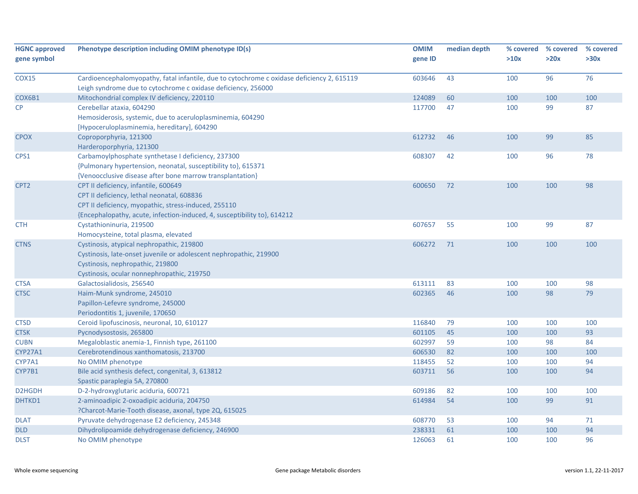| <b>HGNC approved</b><br>gene symbol | Phenotype description including OMIM phenotype ID(s)                                                                                                                                                                   | <b>OMIM</b><br>gene ID | median depth | % covered<br>>10x | % covered<br>>20x | % covered<br>>30x |
|-------------------------------------|------------------------------------------------------------------------------------------------------------------------------------------------------------------------------------------------------------------------|------------------------|--------------|-------------------|-------------------|-------------------|
| <b>COX15</b>                        | Cardioencephalomyopathy, fatal infantile, due to cytochrome c oxidase deficiency 2, 615119<br>Leigh syndrome due to cytochrome c oxidase deficiency, 256000                                                            | 603646                 | 43           | 100               | 96                | 76                |
| COX6B1                              | Mitochondrial complex IV deficiency, 220110                                                                                                                                                                            | 124089                 | 60           | 100               | 100               | 100               |
| <b>CP</b>                           | Cerebellar ataxia, 604290<br>Hemosiderosis, systemic, due to aceruloplasminemia, 604290<br>[Hypoceruloplasminemia, hereditary], 604290                                                                                 | 117700                 | 47           | 100               | 99                | 87                |
| <b>CPOX</b>                         | Coproporphyria, 121300<br>Harderoporphyria, 121300                                                                                                                                                                     | 612732                 | 46           | 100               | 99                | 85                |
| CPS1                                | Carbamoylphosphate synthetase I deficiency, 237300<br>{Pulmonary hypertension, neonatal, susceptibility to}, 615371<br>{Venoocclusive disease after bone marrow transplantation}                                       | 608307                 | 42           | 100               | 96                | 78                |
| CPT <sub>2</sub>                    | CPT II deficiency, infantile, 600649<br>CPT II deficiency, lethal neonatal, 608836<br>CPT II deficiency, myopathic, stress-induced, 255110<br>{Encephalopathy, acute, infection-induced, 4, susceptibility to}, 614212 | 600650                 | 72           | 100               | 100               | 98                |
| <b>CTH</b>                          | Cystathioninuria, 219500<br>Homocysteine, total plasma, elevated                                                                                                                                                       | 607657                 | 55           | 100               | 99                | 87                |
| <b>CTNS</b>                         | Cystinosis, atypical nephropathic, 219800<br>Cystinosis, late-onset juvenile or adolescent nephropathic, 219900<br>Cystinosis, nephropathic, 219800<br>Cystinosis, ocular nonnephropathic, 219750                      | 606272                 | 71           | 100               | 100               | 100               |
| <b>CTSA</b>                         | Galactosialidosis, 256540                                                                                                                                                                                              | 613111                 | 83           | 100               | 100               | 98                |
| <b>CTSC</b>                         | Haim-Munk syndrome, 245010<br>Papillon-Lefevre syndrome, 245000<br>Periodontitis 1, juvenile, 170650                                                                                                                   | 602365                 | 46           | 100               | 98                | 79                |
| <b>CTSD</b>                         | Ceroid lipofuscinosis, neuronal, 10, 610127                                                                                                                                                                            | 116840                 | 79           | 100               | 100               | 100               |
| <b>CTSK</b>                         | Pycnodysostosis, 265800                                                                                                                                                                                                | 601105                 | 45           | 100               | 100               | 93                |
| <b>CUBN</b>                         | Megaloblastic anemia-1, Finnish type, 261100                                                                                                                                                                           | 602997                 | 59           | 100               | 98                | 84                |
| <b>CYP27A1</b>                      | Cerebrotendinous xanthomatosis, 213700                                                                                                                                                                                 | 606530                 | 82           | 100               | 100               | 100               |
| CYP7A1                              | No OMIM phenotype                                                                                                                                                                                                      | 118455                 | 52           | 100               | 100               | 94                |
| CYP7B1                              | Bile acid synthesis defect, congenital, 3, 613812<br>Spastic paraplegia 5A, 270800                                                                                                                                     | 603711                 | 56           | 100               | 100               | 94                |
| D2HGDH                              | D-2-hydroxyglutaric aciduria, 600721                                                                                                                                                                                   | 609186                 | 82           | 100               | 100               | 100               |
| DHTKD1                              | 2-aminoadipic 2-oxoadipic aciduria, 204750<br>?Charcot-Marie-Tooth disease, axonal, type 2Q, 615025                                                                                                                    | 614984                 | 54           | 100               | 99                | 91                |
| <b>DLAT</b>                         | Pyruvate dehydrogenase E2 deficiency, 245348                                                                                                                                                                           | 608770                 | 53           | 100               | 94                | 71                |
| <b>DLD</b>                          | Dihydrolipoamide dehydrogenase deficiency, 246900                                                                                                                                                                      | 238331                 | 61           | 100               | 100               | 94                |
| <b>DLST</b>                         | No OMIM phenotype                                                                                                                                                                                                      | 126063                 | 61           | 100               | 100               | 96                |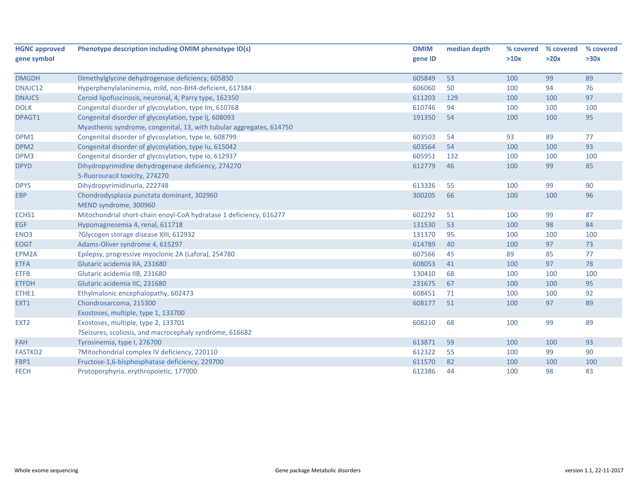| <b>HGNC approved</b> | Phenotype description including OMIM phenotype ID(s)                 | <b>OMIM</b> | median depth | % covered | % covered | % covered |
|----------------------|----------------------------------------------------------------------|-------------|--------------|-----------|-----------|-----------|
| gene symbol          |                                                                      | gene ID     |              | >10x      | >20x      | >30x      |
| <b>DMGDH</b>         | Dimethylglycine dehydrogenase deficiency, 605850                     | 605849      | 53           | 100       | 99        | 89        |
| DNAJC12              | Hyperphenylalaninemia, mild, non-BH4-deficient, 617384               | 606060      | 50           | 100       | 94        | 76        |
| DNAJC5               | Ceroid lipofuscinosis, neuronal, 4, Parry type, 162350               | 611203      | 129          | 100       | 100       | 97        |
| <b>DOLK</b>          | Congenital disorder of glycosylation, type Im, 610768                | 610746      | 94           | 100       | 100       | 100       |
| DPAGT1               | Congenital disorder of glycosylation, type Ij, 608093                | 191350      | 54           | 100       | 100       | 95        |
|                      | Myasthenic syndrome, congenital, 13, with tubular aggregates, 614750 |             |              |           |           |           |
| DPM1                 | Congenital disorder of glycosylation, type le, 608799                | 603503      | 54           | 93        | 89        | 77        |
| DPM <sub>2</sub>     | Congenital disorder of glycosylation, type Iu, 615042                | 603564      | 54           | 100       | 100       | 93        |
| DPM3                 | Congenital disorder of glycosylation, type Io, 612937                | 605951      | 132          | 100       | 100       | 100       |
| <b>DPYD</b>          | Dihydropyrimidine dehydrogenase deficiency, 274270                   | 612779      | 46           | 100       | 99        | 85        |
|                      | 5-fluorouracil toxicity, 274270                                      |             |              |           |           |           |
| <b>DPYS</b>          | Dihydropyrimidinuria, 222748                                         | 613326      | 55           | 100       | 99        | 90        |
| <b>EBP</b>           | Chondrodysplasia punctata dominant, 302960                           | 300205      | 66           | 100       | 100       | 96        |
|                      | MEND syndrome, 300960                                                |             |              |           |           |           |
| ECHS1                | Mitochondrial short-chain enoyl-CoA hydratase 1 deficiency, 616277   | 602292      | 51           | 100       | 99        | 87        |
| EGF                  | Hypomagnesemia 4, renal, 611718                                      | 131530      | 53           | 100       | 98        | 84        |
| ENO <sub>3</sub>     | ?Glycogen storage disease XIII, 612932                               | 131370      | 95           | 100       | 100       | 100       |
| <b>EOGT</b>          | Adams-Oliver syndrome 4, 615297                                      | 614789      | 40           | 100       | 97        | 73        |
| EPM2A                | Epilepsy, progressive myoclonic 2A (Lafora), 254780                  | 607566      | 45           | 89        | 85        | 77        |
| <b>ETFA</b>          | Glutaric acidemia IIA, 231680                                        | 608053      | 41           | 100       | 97        | 78        |
| <b>ETFB</b>          | Glutaric acidemia IIB, 231680                                        | 130410      | 68           | 100       | 100       | 100       |
| <b>ETFDH</b>         | Glutaric acidemia IIC, 231680                                        | 231675      | 67           | 100       | 100       | 95        |
| ETHE1                | Ethylmalonic encephalopathy, 602473                                  | 608451      | 71           | 100       | 100       | 92        |
| EXT1                 | Chondrosarcoma, 215300                                               | 608177      | 51           | 100       | 97        | 89        |
|                      | Exostoses, multiple, type 1, 133700                                  |             |              |           |           |           |
| EXT <sub>2</sub>     | Exostoses, multiple, type 2, 133701                                  | 608210      | 68           | 100       | 99        | 89        |
|                      | ?Seizures, scoliosis, and macrocephaly syndrome, 616682              |             |              |           |           |           |
| <b>FAH</b>           | Tyrosinemia, type I, 276700                                          | 613871      | 59           | 100       | 100       | 93        |
| <b>FASTKD2</b>       | ?Mitochondrial complex IV deficiency, 220110                         | 612322      | 55           | 100       | 99        | 90        |
| FBP1                 | Fructose-1,6-bisphosphatase deficiency, 229700                       | 611570      | 82           | 100       | 100       | 100       |
| <b>FECH</b>          | Protoporphyria, erythropoietic, 177000                               | 612386      | 44           | 100       | 98        | 83        |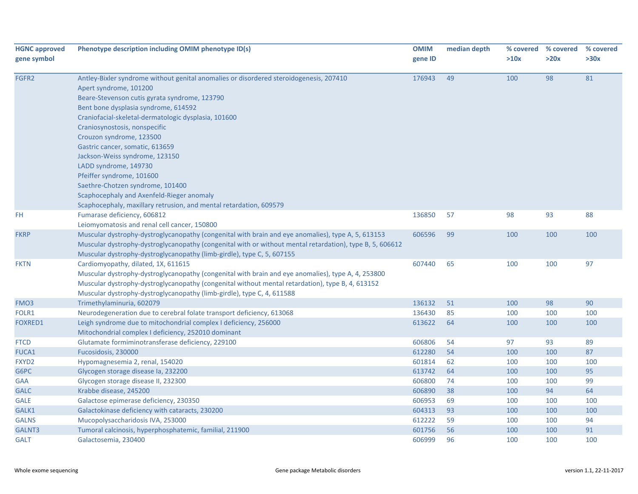| <b>HGNC approved</b> | Phenotype description including OMIM phenotype ID(s)                                                                                                                                                                                                                                                                                                                                                                                                                                                                                                                                                             | <b>OMIM</b> | median depth |      | % covered % covered | % covered |
|----------------------|------------------------------------------------------------------------------------------------------------------------------------------------------------------------------------------------------------------------------------------------------------------------------------------------------------------------------------------------------------------------------------------------------------------------------------------------------------------------------------------------------------------------------------------------------------------------------------------------------------------|-------------|--------------|------|---------------------|-----------|
| gene symbol          |                                                                                                                                                                                                                                                                                                                                                                                                                                                                                                                                                                                                                  | gene ID     |              | >10x | >20x                | >30x      |
| FGFR2                | Antley-Bixler syndrome without genital anomalies or disordered steroidogenesis, 207410<br>Apert syndrome, 101200<br>Beare-Stevenson cutis gyrata syndrome, 123790<br>Bent bone dysplasia syndrome, 614592<br>Craniofacial-skeletal-dermatologic dysplasia, 101600<br>Craniosynostosis, nonspecific<br>Crouzon syndrome, 123500<br>Gastric cancer, somatic, 613659<br>Jackson-Weiss syndrome, 123150<br>LADD syndrome, 149730<br>Pfeiffer syndrome, 101600<br>Saethre-Chotzen syndrome, 101400<br>Scaphocephaly and Axenfeld-Rieger anomaly<br>Scaphocephaly, maxillary retrusion, and mental retardation, 609579 | 176943      | 49           | 100  | 98                  | 81        |
| FH.                  | Fumarase deficiency, 606812<br>Leiomyomatosis and renal cell cancer, 150800                                                                                                                                                                                                                                                                                                                                                                                                                                                                                                                                      | 136850      | 57           | 98   | 93                  | 88        |
| <b>FKRP</b>          | Muscular dystrophy-dystroglycanopathy (congenital with brain and eye anomalies), type A, 5, 613153<br>Muscular dystrophy-dystroglycanopathy (congenital with or without mental retardation), type B, 5, 606612<br>Muscular dystrophy-dystroglycanopathy (limb-girdle), type C, 5, 607155                                                                                                                                                                                                                                                                                                                         | 606596      | 99           | 100  | 100                 | 100       |
| <b>FKTN</b>          | Cardiomyopathy, dilated, 1X, 611615<br>Muscular dystrophy-dystroglycanopathy (congenital with brain and eye anomalies), type A, 4, 253800<br>Muscular dystrophy-dystroglycanopathy (congenital without mental retardation), type B, 4, 613152<br>Muscular dystrophy-dystroglycanopathy (limb-girdle), type C, 4, 611588                                                                                                                                                                                                                                                                                          | 607440      | 65           | 100  | 100                 | 97        |
| FMO <sub>3</sub>     | Trimethylaminuria, 602079                                                                                                                                                                                                                                                                                                                                                                                                                                                                                                                                                                                        | 136132      | 51           | 100  | 98                  | 90        |
| FOLR1                | Neurodegeneration due to cerebral folate transport deficiency, 613068                                                                                                                                                                                                                                                                                                                                                                                                                                                                                                                                            | 136430      | 85           | 100  | 100                 | 100       |
| <b>FOXRED1</b>       | Leigh syndrome due to mitochondrial complex I deficiency, 256000<br>Mitochondrial complex I deficiency, 252010 dominant                                                                                                                                                                                                                                                                                                                                                                                                                                                                                          | 613622      | 64           | 100  | 100                 | 100       |
| <b>FTCD</b>          | Glutamate formiminotransferase deficiency, 229100                                                                                                                                                                                                                                                                                                                                                                                                                                                                                                                                                                | 606806      | 54           | 97   | 93                  | 89        |
| <b>FUCA1</b>         | Fucosidosis, 230000                                                                                                                                                                                                                                                                                                                                                                                                                                                                                                                                                                                              | 612280      | 54           | 100  | 100                 | 87        |
| FXYD <sub>2</sub>    | Hypomagnesemia 2, renal, 154020                                                                                                                                                                                                                                                                                                                                                                                                                                                                                                                                                                                  | 601814      | 62           | 100  | 100                 | 100       |
| G6PC                 | Glycogen storage disease la, 232200                                                                                                                                                                                                                                                                                                                                                                                                                                                                                                                                                                              | 613742      | 64           | 100  | 100                 | 95        |
| <b>GAA</b>           | Glycogen storage disease II, 232300                                                                                                                                                                                                                                                                                                                                                                                                                                                                                                                                                                              | 606800      | 74           | 100  | 100                 | 99        |
| <b>GALC</b>          | Krabbe disease, 245200                                                                                                                                                                                                                                                                                                                                                                                                                                                                                                                                                                                           | 606890      | 38           | 100  | 94                  | 64        |
| <b>GALE</b>          | Galactose epimerase deficiency, 230350                                                                                                                                                                                                                                                                                                                                                                                                                                                                                                                                                                           | 606953      | 69           | 100  | 100                 | 100       |
| GALK1                | Galactokinase deficiency with cataracts, 230200                                                                                                                                                                                                                                                                                                                                                                                                                                                                                                                                                                  | 604313      | 93           | 100  | 100                 | 100       |
| <b>GALNS</b>         | Mucopolysaccharidosis IVA, 253000                                                                                                                                                                                                                                                                                                                                                                                                                                                                                                                                                                                | 612222      | 59           | 100  | 100                 | 94        |
| GALNT3               | Tumoral calcinosis, hyperphosphatemic, familial, 211900                                                                                                                                                                                                                                                                                                                                                                                                                                                                                                                                                          | 601756      | 56           | 100  | 100                 | 91        |
| <b>GALT</b>          | Galactosemia, 230400                                                                                                                                                                                                                                                                                                                                                                                                                                                                                                                                                                                             | 606999      | 96           | 100  | 100                 | 100       |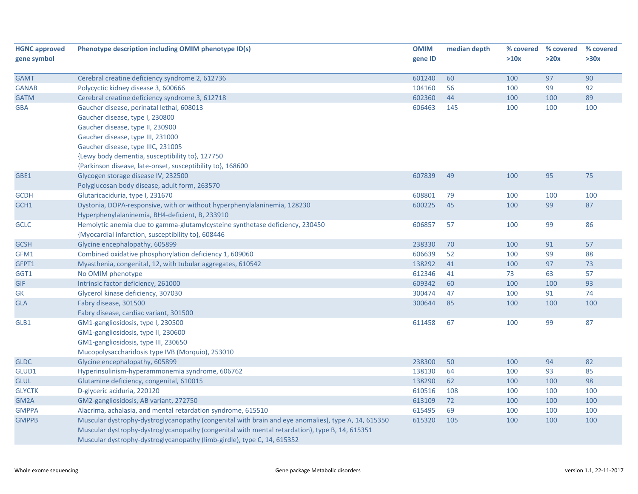| <b>HGNC approved</b> | Phenotype description including OMIM phenotype ID(s)                                                | <b>OMIM</b> | median depth |      | % covered % covered | % covered |
|----------------------|-----------------------------------------------------------------------------------------------------|-------------|--------------|------|---------------------|-----------|
| gene symbol          |                                                                                                     | gene ID     |              | >10x | >20x                | >30x      |
| <b>GAMT</b>          | Cerebral creatine deficiency syndrome 2, 612736                                                     | 601240      | 60           | 100  | 97                  | 90        |
| <b>GANAB</b>         | Polycyctic kidney disease 3, 600666                                                                 | 104160      | 56           | 100  | 99                  | 92        |
| <b>GATM</b>          | Cerebral creatine deficiency syndrome 3, 612718                                                     | 602360      | 44           | 100  | 100                 | 89        |
| <b>GBA</b>           | Gaucher disease, perinatal lethal, 608013                                                           | 606463      | 145          | 100  | 100                 | 100       |
|                      | Gaucher disease, type I, 230800                                                                     |             |              |      |                     |           |
|                      | Gaucher disease, type II, 230900                                                                    |             |              |      |                     |           |
|                      | Gaucher disease, type III, 231000                                                                   |             |              |      |                     |           |
|                      | Gaucher disease, type IIIC, 231005                                                                  |             |              |      |                     |           |
|                      | {Lewy body dementia, susceptibility to}, 127750                                                     |             |              |      |                     |           |
|                      | {Parkinson disease, late-onset, susceptibility to}, 168600                                          |             |              |      |                     |           |
| GBE1                 | Glycogen storage disease IV, 232500                                                                 | 607839      | 49           | 100  | 95                  | 75        |
|                      | Polyglucosan body disease, adult form, 263570                                                       |             |              |      |                     |           |
| <b>GCDH</b>          | Glutaricaciduria, type I, 231670                                                                    | 608801      | 79           | 100  | 100                 | 100       |
| GCH1                 | Dystonia, DOPA-responsive, with or without hyperphenylalaninemia, 128230                            | 600225      | 45           | 100  | 99                  | 87        |
|                      | Hyperphenylalaninemia, BH4-deficient, B, 233910                                                     |             |              |      |                     |           |
| <b>GCLC</b>          | Hemolytic anemia due to gamma-glutamylcysteine synthetase deficiency, 230450                        | 606857      | 57           | 100  | 99                  | 86        |
|                      | {Myocardial infarction, susceptibility to}, 608446                                                  |             |              |      |                     |           |
| <b>GCSH</b>          | Glycine encephalopathy, 605899                                                                      | 238330      | 70           | 100  | 91                  | 57        |
| GFM1                 | Combined oxidative phosphorylation deficiency 1, 609060                                             | 606639      | 52           | 100  | 99                  | 88        |
| GFPT1                | Myasthenia, congenital, 12, with tubular aggregates, 610542                                         | 138292      | 41           | 100  | 97                  | 73        |
| GGT1                 | No OMIM phenotype                                                                                   | 612346      | 41           | 73   | 63                  | 57        |
| <b>GIF</b>           | Intrinsic factor deficiency, 261000                                                                 | 609342      | 60           | 100  | 100                 | 93        |
| <b>GK</b>            | Glycerol kinase deficiency, 307030                                                                  | 300474      | 47           | 100  | 91                  | 74        |
| <b>GLA</b>           | Fabry disease, 301500                                                                               | 300644      | 85           | 100  | 100                 | 100       |
|                      | Fabry disease, cardiac variant, 301500                                                              |             |              |      |                     |           |
| GLB1                 | GM1-gangliosidosis, type I, 230500                                                                  | 611458      | 67           | 100  | 99                  | 87        |
|                      | GM1-gangliosidosis, type II, 230600                                                                 |             |              |      |                     |           |
|                      | GM1-gangliosidosis, type III, 230650                                                                |             |              |      |                     |           |
|                      | Mucopolysaccharidosis type IVB (Morquio), 253010                                                    |             |              |      |                     |           |
| <b>GLDC</b>          | Glycine encephalopathy, 605899                                                                      | 238300      | 50           | 100  | 94                  | 82        |
| GLUD1                | Hyperinsulinism-hyperammonemia syndrome, 606762                                                     | 138130      | 64           | 100  | 93                  | 85        |
| <b>GLUL</b>          | Glutamine deficiency, congenital, 610015                                                            | 138290      | 62           | 100  | 100                 | 98        |
| <b>GLYCTK</b>        | D-glyceric aciduria, 220120                                                                         | 610516      | 108          | 100  | 100                 | 100       |
| GM2A                 | GM2-gangliosidosis, AB variant, 272750                                                              | 613109      | 72           | 100  | 100                 | 100       |
| <b>GMPPA</b>         | Alacrima, achalasia, and mental retardation syndrome, 615510                                        | 615495      | 69           | 100  | 100                 | 100       |
| <b>GMPPB</b>         | Muscular dystrophy-dystroglycanopathy (congenital with brain and eye anomalies), type A, 14, 615350 | 615320      | 105          | 100  | 100                 | 100       |
|                      | Muscular dystrophy-dystroglycanopathy (congenital with mental retardation), type B, 14, 615351      |             |              |      |                     |           |
|                      | Muscular dystrophy-dystroglycanopathy (limb-girdle), type C, 14, 615352                             |             |              |      |                     |           |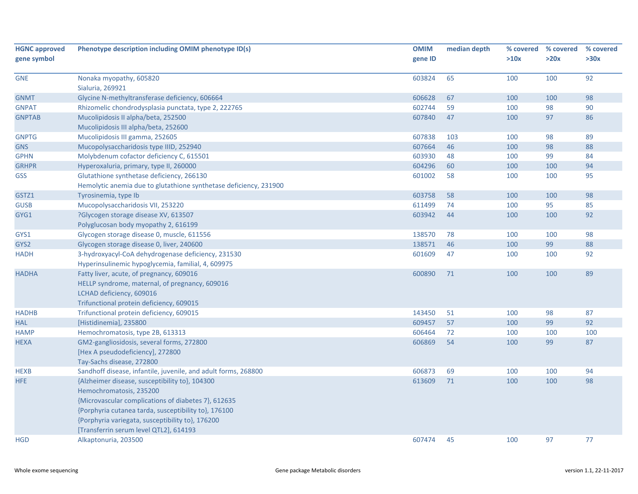| <b>HGNC approved</b><br>gene symbol | Phenotype description including OMIM phenotype ID(s)              | <b>OMIM</b><br>gene ID | median depth | % covered<br>>10x | % covered<br>>20x | % covered<br>>30x |
|-------------------------------------|-------------------------------------------------------------------|------------------------|--------------|-------------------|-------------------|-------------------|
|                                     |                                                                   |                        |              |                   |                   | 92                |
| <b>GNE</b>                          | Nonaka myopathy, 605820<br>Sialuria, 269921                       | 603824                 | 65           | 100               | 100               |                   |
| <b>GNMT</b>                         | Glycine N-methyltransferase deficiency, 606664                    | 606628                 | 67           | 100               | 100               | 98                |
| <b>GNPAT</b>                        | Rhizomelic chondrodysplasia punctata, type 2, 222765              | 602744                 | 59           | 100               | 98                | 90                |
| <b>GNPTAB</b>                       | Mucolipidosis II alpha/beta, 252500                               | 607840                 | 47           | 100               | 97                | 86                |
|                                     | Mucolipidosis III alpha/beta, 252600                              |                        |              |                   |                   |                   |
| <b>GNPTG</b>                        | Mucolipidosis III gamma, 252605                                   | 607838                 | 103          | 100               | 98                | 89                |
| <b>GNS</b>                          | Mucopolysaccharidosis type IIID, 252940                           | 607664                 | 46           | 100               | 98                | 88                |
| <b>GPHN</b>                         | Molybdenum cofactor deficiency C, 615501                          | 603930                 | 48           | 100               | 99                | 84                |
| <b>GRHPR</b>                        | Hyperoxaluria, primary, type II, 260000                           | 604296                 | 60           | 100               | 100               | 94                |
| <b>GSS</b>                          | Glutathione synthetase deficiency, 266130                         | 601002                 | 58           | 100               | 100               | 95                |
|                                     | Hemolytic anemia due to glutathione synthetase deficiency, 231900 |                        |              |                   |                   |                   |
| GSTZ1                               | Tyrosinemia, type Ib                                              | 603758                 | 58           | 100               | 100               | 98                |
| <b>GUSB</b>                         | Mucopolysaccharidosis VII, 253220                                 | 611499                 | 74           | 100               | 95                | 85                |
| GYG1                                | ?Glycogen storage disease XV, 613507                              | 603942                 | 44           | 100               | 100               | 92                |
|                                     | Polyglucosan body myopathy 2, 616199                              |                        |              |                   |                   |                   |
| GYS1                                | Glycogen storage disease 0, muscle, 611556                        | 138570                 | 78           | 100               | 100               | 98                |
| GYS2                                | Glycogen storage disease 0, liver, 240600                         | 138571                 | 46           | 100               | 99                | 88                |
| <b>HADH</b>                         | 3-hydroxyacyl-CoA dehydrogenase deficiency, 231530                | 601609                 | 47           | 100               | 100               | 92                |
|                                     | Hyperinsulinemic hypoglycemia, familial, 4, 609975                |                        |              |                   |                   |                   |
| <b>HADHA</b>                        | Fatty liver, acute, of pregnancy, 609016                          | 600890                 | 71           | 100               | 100               | 89                |
|                                     | HELLP syndrome, maternal, of pregnancy, 609016                    |                        |              |                   |                   |                   |
|                                     | LCHAD deficiency, 609016                                          |                        |              |                   |                   |                   |
|                                     | Trifunctional protein deficiency, 609015                          |                        |              |                   |                   |                   |
| <b>HADHB</b>                        | Trifunctional protein deficiency, 609015                          | 143450                 | 51           | 100               | 98                | 87                |
| <b>HAL</b>                          | [Histidinemia], 235800                                            | 609457                 | 57           | 100               | 99                | 92                |
| <b>HAMP</b>                         | Hemochromatosis, type 2B, 613313                                  | 606464                 | 72           | 100               | 100               | 100               |
| <b>HEXA</b>                         | GM2-gangliosidosis, several forms, 272800                         | 606869                 | 54           | 100               | 99                | 87                |
|                                     | [Hex A pseudodeficiency], 272800                                  |                        |              |                   |                   |                   |
|                                     | Tay-Sachs disease, 272800                                         |                        |              |                   |                   |                   |
| <b>HEXB</b>                         | Sandhoff disease, infantile, juvenile, and adult forms, 268800    | 606873                 | 69           | 100               | 100               | 94                |
| HFE                                 | {Alzheimer disease, susceptibility to}, 104300                    | 613609                 | 71           | 100               | 100               | 98                |
|                                     | Hemochromatosis, 235200                                           |                        |              |                   |                   |                   |
|                                     | {Microvascular complications of diabetes 7}, 612635               |                        |              |                   |                   |                   |
|                                     | {Porphyria cutanea tarda, susceptibility to}, 176100              |                        |              |                   |                   |                   |
|                                     | {Porphyria variegata, susceptibility to}, 176200                  |                        |              |                   |                   |                   |
|                                     | [Transferrin serum level QTL2], 614193                            |                        |              |                   |                   |                   |
| <b>HGD</b>                          | Alkaptonuria, 203500                                              | 607474                 | 45           | 100               | 97                | 77                |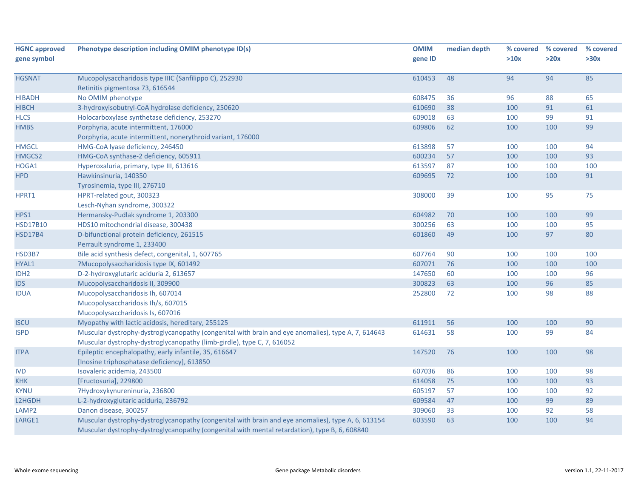| <b>HGNC approved</b> | Phenotype description including OMIM phenotype ID(s)                                                                                                                                                | <b>OMIM</b> | median depth | % covered | % covered | % covered |
|----------------------|-----------------------------------------------------------------------------------------------------------------------------------------------------------------------------------------------------|-------------|--------------|-----------|-----------|-----------|
| gene symbol          |                                                                                                                                                                                                     | gene ID     |              | >10x      | >20x      | >30x      |
| <b>HGSNAT</b>        | Mucopolysaccharidosis type IIIC (Sanfilippo C), 252930                                                                                                                                              | 610453      | 48           | 94        | 94        | 85        |
|                      | Retinitis pigmentosa 73, 616544                                                                                                                                                                     |             |              |           |           |           |
| <b>HIBADH</b>        | No OMIM phenotype                                                                                                                                                                                   | 608475      | 36           | 96        | 88        | 65        |
| <b>HIBCH</b>         | 3-hydroxyisobutryl-CoA hydrolase deficiency, 250620                                                                                                                                                 | 610690      | 38           | 100       | 91        | 61        |
| <b>HLCS</b>          | Holocarboxylase synthetase deficiency, 253270                                                                                                                                                       | 609018      | 63           | 100       | 99        | 91        |
| <b>HMBS</b>          | Porphyria, acute intermittent, 176000                                                                                                                                                               | 609806      | 62           | 100       | 100       | 99        |
|                      | Porphyria, acute intermittent, nonerythroid variant, 176000                                                                                                                                         |             |              |           |           |           |
| <b>HMGCL</b>         | HMG-CoA lyase deficiency, 246450                                                                                                                                                                    | 613898      | 57           | 100       | 100       | 94        |
| HMGCS2               | HMG-CoA synthase-2 deficiency, 605911                                                                                                                                                               | 600234      | 57           | 100       | 100       | 93        |
| HOGA1                | Hyperoxaluria, primary, type III, 613616                                                                                                                                                            | 613597      | 87           | 100       | 100       | 100       |
| <b>HPD</b>           | Hawkinsinuria, 140350                                                                                                                                                                               | 609695      | 72           | 100       | 100       | 91        |
|                      | Tyrosinemia, type III, 276710                                                                                                                                                                       |             |              |           |           |           |
| HPRT1                | HPRT-related gout, 300323                                                                                                                                                                           | 308000      | 39           | 100       | 95        | 75        |
|                      | Lesch-Nyhan syndrome, 300322                                                                                                                                                                        |             |              |           |           |           |
| HPS1                 | Hermansky-Pudlak syndrome 1, 203300                                                                                                                                                                 | 604982      | 70           | 100       | 100       | 99        |
| <b>HSD17B10</b>      | HDS10 mitochondrial disease, 300438                                                                                                                                                                 | 300256      | 63           | 100       | 100       | 95        |
| <b>HSD17B4</b>       | D-bifunctional protein deficiency, 261515                                                                                                                                                           | 601860      | 49           | 100       | 97        | 80        |
|                      | Perrault syndrome 1, 233400                                                                                                                                                                         |             |              |           |           |           |
| HSD3B7               | Bile acid synthesis defect, congenital, 1, 607765                                                                                                                                                   | 607764      | 90           | 100       | 100       | 100       |
| HYAL1                | ?Mucopolysaccharidosis type IX, 601492                                                                                                                                                              | 607071      | 76           | 100       | 100       | 100       |
| IDH <sub>2</sub>     | D-2-hydroxyglutaric aciduria 2, 613657                                                                                                                                                              | 147650      | 60           | 100       | 100       | 96        |
| <b>IDS</b>           | Mucopolysaccharidosis II, 309900                                                                                                                                                                    | 300823      | 63           | 100       | 96        | 85        |
| <b>IDUA</b>          | Mucopolysaccharidosis Ih, 607014                                                                                                                                                                    | 252800      | 72           | 100       | 98        | 88        |
|                      | Mucopolysaccharidosis Ih/s, 607015                                                                                                                                                                  |             |              |           |           |           |
|                      | Mucopolysaccharidosis Is, 607016                                                                                                                                                                    |             |              |           |           |           |
| <b>ISCU</b>          | Myopathy with lactic acidosis, hereditary, 255125                                                                                                                                                   | 611911      | 56           | 100       | 100       | 90        |
| <b>ISPD</b>          | Muscular dystrophy-dystroglycanopathy (congenital with brain and eye anomalies), type A, 7, 614643                                                                                                  | 614631      | 58           | 100       | 99        | 84        |
|                      | Muscular dystrophy-dystroglycanopathy (limb-girdle), type C, 7, 616052                                                                                                                              |             |              |           |           |           |
| <b>ITPA</b>          | Epileptic encephalopathy, early infantile, 35, 616647                                                                                                                                               | 147520      | 76           | 100       | 100       | 98        |
|                      | [Inosine triphosphatase deficiency], 613850                                                                                                                                                         |             |              |           |           |           |
| <b>IVD</b>           | Isovaleric acidemia, 243500                                                                                                                                                                         | 607036      | 86           | 100       | 100       | 98        |
| <b>KHK</b>           | [Fructosuria], 229800                                                                                                                                                                               | 614058      | 75           | 100       | 100       | 93        |
| <b>KYNU</b>          | ?Hydroxykynureninuria, 236800                                                                                                                                                                       | 605197      | 57           | 100       | 100       | 92        |
| L2HGDH               | L-2-hydroxyglutaric aciduria, 236792                                                                                                                                                                | 609584      | 47           | 100       | 99        | 89        |
| LAMP <sub>2</sub>    | Danon disease, 300257                                                                                                                                                                               | 309060      | 33           | 100       | 92        | 58        |
| LARGE1               | Muscular dystrophy-dystroglycanopathy (congenital with brain and eye anomalies), type A, 6, 613154<br>Muscular dystrophy-dystroglycanopathy (congenital with mental retardation), type B, 6, 608840 | 603590      | 63           | 100       | 100       | 94        |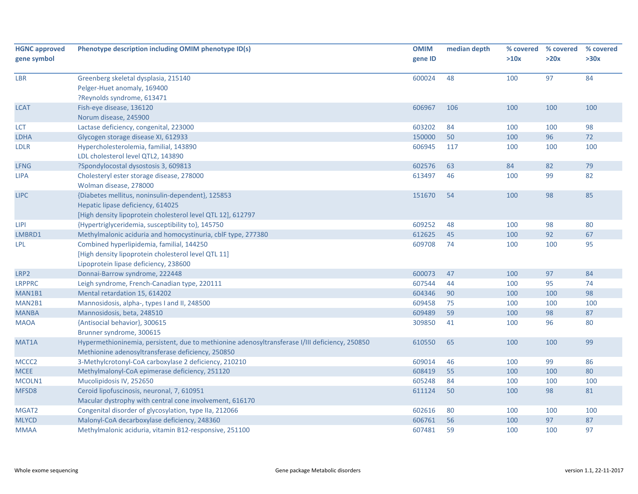| <b>HGNC approved</b><br>gene symbol | Phenotype description including OMIM phenotype ID(s)                                                                                                  | <b>OMIM</b><br>gene ID | median depth | % covered<br>>10x | % covered<br>>20x | % covered<br>>30x |
|-------------------------------------|-------------------------------------------------------------------------------------------------------------------------------------------------------|------------------------|--------------|-------------------|-------------------|-------------------|
| LBR                                 | Greenberg skeletal dysplasia, 215140<br>Pelger-Huet anomaly, 169400<br>?Reynolds syndrome, 613471                                                     | 600024                 | 48           | 100               | 97                | 84                |
| <b>LCAT</b>                         | Fish-eye disease, 136120<br>Norum disease, 245900                                                                                                     | 606967                 | 106          | 100               | 100               | 100               |
| LCT                                 | Lactase deficiency, congenital, 223000                                                                                                                | 603202                 | 84           | 100               | 100               | 98                |
| <b>LDHA</b>                         | Glycogen storage disease XI, 612933                                                                                                                   | 150000                 | 50           | 100               | 96                | $72\,$            |
| <b>LDLR</b>                         | Hypercholesterolemia, familial, 143890<br>LDL cholesterol level QTL2, 143890                                                                          | 606945                 | 117          | 100               | 100               | 100               |
| <b>LFNG</b>                         | ?Spondylocostal dysostosis 3, 609813                                                                                                                  | 602576                 | 63           | 84                | 82                | 79                |
| <b>LIPA</b>                         | Cholesteryl ester storage disease, 278000<br>Wolman disease, 278000                                                                                   | 613497                 | 46           | 100               | 99                | 82                |
| <b>LIPC</b>                         | {Diabetes mellitus, noninsulin-dependent}, 125853<br>Hepatic lipase deficiency, 614025<br>[High density lipoprotein cholesterol level QTL 12], 612797 | 151670                 | 54           | 100               | 98                | 85                |
| <b>LIPI</b>                         | {Hypertriglyceridemia, susceptibility to}, 145750                                                                                                     | 609252                 | 48           | 100               | 98                | 80                |
| LMBRD1                              | Methylmalonic aciduria and homocystinuria, cblF type, 277380                                                                                          | 612625                 | 45           | 100               | 92                | 67                |
| <b>LPL</b>                          | Combined hyperlipidemia, familial, 144250<br>[High density lipoprotein cholesterol level QTL 11]<br>Lipoprotein lipase deficiency, 238600             | 609708                 | 74           | 100               | 100               | 95                |
| LRP2                                | Donnai-Barrow syndrome, 222448                                                                                                                        | 600073                 | 47           | 100               | 97                | 84                |
| <b>LRPPRC</b>                       | Leigh syndrome, French-Canadian type, 220111                                                                                                          | 607544                 | 44           | 100               | 95                | 74                |
| MAN1B1                              | Mental retardation 15, 614202                                                                                                                         | 604346                 | 90           | 100               | 100               | 98                |
| MAN2B1                              | Mannosidosis, alpha-, types I and II, 248500                                                                                                          | 609458                 | 75           | 100               | 100               | 100               |
| <b>MANBA</b>                        | Mannosidosis, beta, 248510                                                                                                                            | 609489                 | 59           | 100               | 98                | 87                |
| <b>MAOA</b>                         | {Antisocial behavior}, 300615<br>Brunner syndrome, 300615                                                                                             | 309850                 | 41           | 100               | 96                | 80                |
| MAT <sub>1</sub> A                  | Hypermethioninemia, persistent, due to methionine adenosyltransferase I/III deficiency, 250850<br>Methionine adenosyltransferase deficiency, 250850   | 610550                 | 65           | 100               | 100               | 99                |
| MCCC <sub>2</sub>                   | 3-Methylcrotonyl-CoA carboxylase 2 deficiency, 210210                                                                                                 | 609014                 | 46           | 100               | 99                | 86                |
| <b>MCEE</b>                         | Methylmalonyl-CoA epimerase deficiency, 251120                                                                                                        | 608419                 | 55           | 100               | 100               | 80                |
| MCOLN1                              | Mucolipidosis IV, 252650                                                                                                                              | 605248                 | 84           | 100               | 100               | 100               |
| MFSD <sub>8</sub>                   | Ceroid lipofuscinosis, neuronal, 7, 610951<br>Macular dystrophy with central cone involvement, 616170                                                 | 611124                 | 50           | 100               | 98                | 81                |
| MGAT2                               | Congenital disorder of glycosylation, type IIa, 212066                                                                                                | 602616                 | 80           | 100               | 100               | 100               |
| <b>MLYCD</b>                        | Malonyl-CoA decarboxylase deficiency, 248360                                                                                                          | 606761                 | 56           | 100               | 97                | 87                |
| <b>MMAA</b>                         | Methylmalonic aciduria, vitamin B12-responsive, 251100                                                                                                | 607481                 | 59           | 100               | 100               | 97                |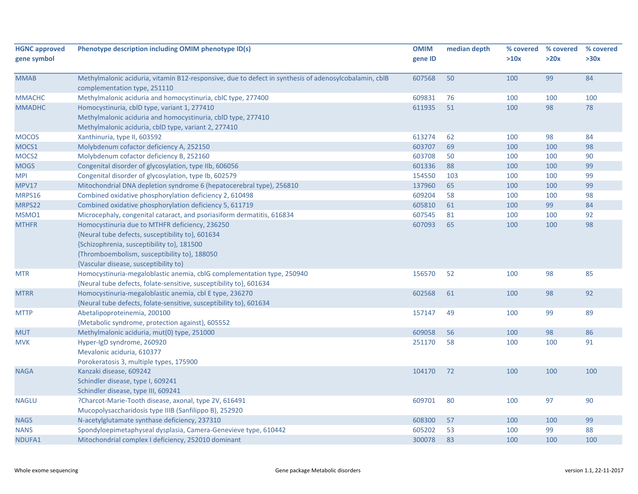| <b>HGNC approved</b> | Phenotype description including OMIM phenotype ID(s)                                                                                  | <b>OMIM</b> | median depth | % covered | % covered | % covered |
|----------------------|---------------------------------------------------------------------------------------------------------------------------------------|-------------|--------------|-----------|-----------|-----------|
| gene symbol          |                                                                                                                                       | gene ID     |              | >10x      | >20x      | >30x      |
| <b>MMAB</b>          | Methylmalonic aciduria, vitamin B12-responsive, due to defect in synthesis of adenosylcobalamin, cblB<br>complementation type, 251110 | 607568      | 50           | 100       | 99        | 84        |
| <b>MMACHC</b>        | Methylmalonic aciduria and homocystinuria, cblC type, 277400                                                                          | 609831      | 76           | 100       | 100       | 100       |
| <b>MMADHC</b>        | Homocystinuria, cblD type, variant 1, 277410                                                                                          | 611935      | 51           | 100       | 98        | 78        |
|                      | Methylmalonic aciduria and homocystinuria, cblD type, 277410                                                                          |             |              |           |           |           |
|                      | Methylmalonic aciduria, cblD type, variant 2, 277410                                                                                  |             |              |           |           |           |
| <b>MOCOS</b>         | Xanthinuria, type II, 603592                                                                                                          | 613274      | 62           | 100       | 98        | 84        |
| MOCS1                | Molybdenum cofactor deficiency A, 252150                                                                                              | 603707      | 69           | 100       | 100       | 98        |
| MOCS <sub>2</sub>    | Molybdenum cofactor deficiency B, 252160                                                                                              | 603708      | 50           | 100       | 100       | 90        |
| <b>MOGS</b>          | Congenital disorder of glycosylation, type IIb, 606056                                                                                | 601336      | 88           | 100       | 100       | 99        |
| <b>MPI</b>           | Congenital disorder of glycosylation, type Ib, 602579                                                                                 | 154550      | 103          | 100       | 100       | 99        |
| MPV17                | Mitochondrial DNA depletion syndrome 6 (hepatocerebral type), 256810                                                                  | 137960      | 65           | 100       | 100       | 99        |
| MRPS16               | Combined oxidative phosphorylation deficiency 2, 610498                                                                               | 609204      | 58           | 100       | 100       | 98        |
| MRPS22               | Combined oxidative phosphorylation deficiency 5, 611719                                                                               | 605810      | 61           | 100       | 99        | 84        |
| MSMO1                | Microcephaly, congenital cataract, and psoriasiform dermatitis, 616834                                                                | 607545      | 81           | 100       | 100       | 92        |
| <b>MTHFR</b>         | Homocystinuria due to MTHFR deficiency, 236250                                                                                        | 607093      | 65           | 100       | 100       | 98        |
|                      | {Neural tube defects, susceptibility to}, 601634                                                                                      |             |              |           |           |           |
|                      | {Schizophrenia, susceptibility to}, 181500                                                                                            |             |              |           |           |           |
|                      | {Thromboembolism, susceptibility to}, 188050                                                                                          |             |              |           |           |           |
|                      | {Vascular disease, susceptibility to}                                                                                                 |             |              |           |           |           |
| <b>MTR</b>           | Homocystinuria-megaloblastic anemia, cblG complementation type, 250940                                                                | 156570      | 52           | 100       | 98        | 85        |
|                      | {Neural tube defects, folate-sensitive, susceptibility to}, 601634                                                                    |             |              |           |           |           |
| <b>MTRR</b>          | Homocystinuria-megaloblastic anemia, cbl E type, 236270                                                                               | 602568      | 61           | 100       | 98        | 92        |
|                      | {Neural tube defects, folate-sensitive, susceptibility to}, 601634                                                                    |             |              |           |           |           |
| <b>MTTP</b>          | Abetalipoproteinemia, 200100                                                                                                          | 157147      | 49           | 100       | 99        | 89        |
|                      | {Metabolic syndrome, protection against}, 605552                                                                                      |             |              |           |           |           |
| <b>MUT</b>           | Methylmalonic aciduria, mut(0) type, 251000                                                                                           | 609058      | 56           | 100       | 98        | 86        |
| <b>MVK</b>           | Hyper-IgD syndrome, 260920                                                                                                            | 251170      | 58           | 100       | 100       | 91        |
|                      | Mevalonic aciduria, 610377                                                                                                            |             |              |           |           |           |
|                      | Porokeratosis 3, multiple types, 175900                                                                                               |             |              |           |           |           |
| <b>NAGA</b>          | Kanzaki disease, 609242                                                                                                               | 104170      | 72           | 100       | 100       | 100       |
|                      | Schindler disease, type I, 609241                                                                                                     |             |              |           |           |           |
|                      | Schindler disease, type III, 609241                                                                                                   |             |              |           |           |           |
| <b>NAGLU</b>         | ?Charcot-Marie-Tooth disease, axonal, type 2V, 616491                                                                                 | 609701      | 80           | 100       | 97        | 90        |
|                      | Mucopolysaccharidosis type IIIB (Sanfilippo B), 252920                                                                                |             |              |           |           |           |
| <b>NAGS</b>          | N-acetylglutamate synthase deficiency, 237310                                                                                         | 608300      | 57           | 100       | 100       | 99        |
| <b>NANS</b>          | Spondyloepimetaphyseal dysplasia, Camera-Genevieve type, 610442                                                                       | 605202      | 53           | 100       | 99        | 88        |
| NDUFA1               | Mitochondrial complex I deficiency, 252010 dominant                                                                                   | 300078      | 83           | 100       | 100       | 100       |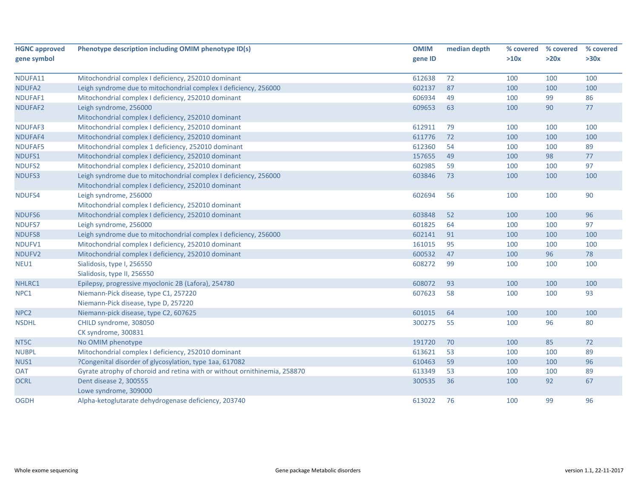| <b>HGNC approved</b> | Phenotype description including OMIM phenotype ID(s)                      | <b>OMIM</b> | median depth | % covered | % covered | % covered |
|----------------------|---------------------------------------------------------------------------|-------------|--------------|-----------|-----------|-----------|
| gene symbol          |                                                                           | gene ID     |              | >10x      | >20x      | >30x      |
| NDUFA11              | Mitochondrial complex I deficiency, 252010 dominant                       | 612638      | 72           | 100       | 100       | 100       |
| NDUFA2               | Leigh syndrome due to mitochondrial complex I deficiency, 256000          | 602137      | 87           | 100       | 100       | 100       |
| NDUFAF1              | Mitochondrial complex I deficiency, 252010 dominant                       | 606934      | 49           | 100       | 99        | 86        |
|                      |                                                                           |             |              |           |           |           |
| NDUFAF2              | Leigh syndrome, 256000                                                    | 609653      | 63           | 100       | 90        | 77        |
| NDUFAF3              | Mitochondrial complex I deficiency, 252010 dominant                       | 612911      | 79           | 100       | 100       | 100       |
|                      | Mitochondrial complex I deficiency, 252010 dominant                       |             |              |           |           |           |
| NDUFAF4              | Mitochondrial complex I deficiency, 252010 dominant                       | 611776      | 72           | 100       | 100       | 100       |
| NDUFAF5              | Mitochondrial complex 1 deficiency, 252010 dominant                       | 612360      | 54           | 100       | 100       | 89        |
| NDUFS1               | Mitochondrial complex I deficiency, 252010 dominant                       | 157655      | 49           | 100       | 98        | 77        |
| NDUFS2               | Mitochondrial complex I deficiency, 252010 dominant                       | 602985      | 59           | 100       | 100       | 97        |
| <b>NDUFS3</b>        | Leigh syndrome due to mitochondrial complex I deficiency, 256000          | 603846      | 73           | 100       | 100       | 100       |
|                      | Mitochondrial complex I deficiency, 252010 dominant                       |             |              |           |           |           |
| NDUFS4               | Leigh syndrome, 256000                                                    | 602694      | 56           | 100       | 100       | 90        |
|                      | Mitochondrial complex I deficiency, 252010 dominant                       |             |              |           |           |           |
| NDUFS6               | Mitochondrial complex I deficiency, 252010 dominant                       | 603848      | 52           | 100       | 100       | 96        |
| NDUFS7               | Leigh syndrome, 256000                                                    | 601825      | 64           | 100       | 100       | 97        |
| <b>NDUFS8</b>        | Leigh syndrome due to mitochondrial complex I deficiency, 256000          | 602141      | 91           | 100       | 100       | 100       |
| NDUFV1               | Mitochondrial complex I deficiency, 252010 dominant                       | 161015      | 95           | 100       | 100       | 100       |
| NDUFV2               | Mitochondrial complex I deficiency, 252010 dominant                       | 600532      | 47           | 100       | 96        | 78        |
| NEU1                 | Sialidosis, type I, 256550                                                | 608272      | 99           | 100       | 100       | 100       |
|                      | Sialidosis, type II, 256550                                               |             |              |           |           |           |
| NHLRC1               | Epilepsy, progressive myoclonic 2B (Lafora), 254780                       | 608072      | 93           | 100       | 100       | 100       |
| NPC1                 | Niemann-Pick disease, type C1, 257220                                     | 607623      | 58           | 100       | 100       | 93        |
|                      | Niemann-Pick disease, type D, 257220                                      |             |              |           |           |           |
| NPC <sub>2</sub>     | Niemann-pick disease, type C2, 607625                                     | 601015      | 64           | 100       | 100       | 100       |
| <b>NSDHL</b>         | CHILD syndrome, 308050                                                    | 300275      | 55           | 100       | 96        | 80        |
|                      | CK syndrome, 300831                                                       |             |              |           |           |           |
| NT5C                 | No OMIM phenotype                                                         | 191720      | 70           | 100       | 85        | 72        |
| <b>NUBPL</b>         | Mitochondrial complex I deficiency, 252010 dominant                       | 613621      | 53           | 100       | 100       | 89        |
| NUS1                 | ?Congenital disorder of glycosylation, type 1aa, 617082                   | 610463      | 59           | 100       | 100       | 96        |
| <b>OAT</b>           | Gyrate atrophy of choroid and retina with or without ornithinemia, 258870 | 613349      | 53           | 100       | 100       | 89        |
| <b>OCRL</b>          | Dent disease 2, 300555                                                    | 300535      | 36           | 100       | 92        | 67        |
|                      | Lowe syndrome, 309000                                                     |             |              |           |           |           |
| <b>OGDH</b>          | Alpha-ketoglutarate dehydrogenase deficiency, 203740                      | 613022      | 76           | 100       | 99        | 96        |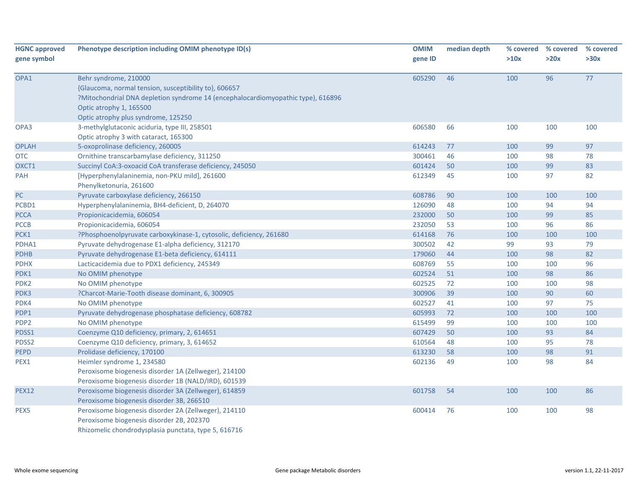| <b>HGNC approved</b><br>gene symbol | Phenotype description including OMIM phenotype ID(s)                                                                                                                                                                                 | <b>OMIM</b><br>gene ID | median depth | >10x | % covered % covered<br>>20x | % covered<br>>30x |
|-------------------------------------|--------------------------------------------------------------------------------------------------------------------------------------------------------------------------------------------------------------------------------------|------------------------|--------------|------|-----------------------------|-------------------|
| OPA1                                | Behr syndrome, 210000<br>{Glaucoma, normal tension, susceptibility to}, 606657<br>?Mitochondrial DNA depletion syndrome 14 (encephalocardiomyopathic type), 616896<br>Optic atrophy 1, 165500<br>Optic atrophy plus syndrome, 125250 | 605290                 | 46           | 100  | 96                          | 77                |
| OPA3                                | 3-methylglutaconic aciduria, type III, 258501<br>Optic atrophy 3 with cataract, 165300                                                                                                                                               | 606580                 | 66           | 100  | 100                         | 100               |
| <b>OPLAH</b>                        | 5-oxoprolinase deficiency, 260005                                                                                                                                                                                                    | 614243                 | 77           | 100  | 99                          | 97                |
| <b>OTC</b>                          | Ornithine transcarbamylase deficiency, 311250                                                                                                                                                                                        | 300461                 | 46           | 100  | 98                          | 78                |
| OXCT1                               | Succinyl CoA:3-oxoacid CoA transferase deficiency, 245050                                                                                                                                                                            | 601424                 | 50           | 100  | 99                          | 83                |
| PAH                                 | [Hyperphenylalaninemia, non-PKU mild], 261600<br>Phenylketonuria, 261600                                                                                                                                                             | 612349                 | 45           | 100  | 97                          | 82                |
| PC                                  | Pyruvate carboxylase deficiency, 266150                                                                                                                                                                                              | 608786                 | 90           | 100  | 100                         | 100               |
| PCBD1                               | Hyperphenylalaninemia, BH4-deficient, D, 264070                                                                                                                                                                                      | 126090                 | 48           | 100  | 94                          | 94                |
| <b>PCCA</b>                         | Propionicacidemia, 606054                                                                                                                                                                                                            | 232000                 | 50           | 100  | 99                          | 85                |
| <b>PCCB</b>                         | Propionicacidemia, 606054                                                                                                                                                                                                            | 232050                 | 53           | 100  | 96                          | 86                |
| PCK1                                | ?Phosphoenolpyruvate carboxykinase-1, cytosolic, deficiency, 261680                                                                                                                                                                  | 614168                 | 76           | 100  | 100                         | 100               |
| PDHA1                               | Pyruvate dehydrogenase E1-alpha deficiency, 312170                                                                                                                                                                                   | 300502                 | 42           | 99   | 93                          | 79                |
| <b>PDHB</b>                         | Pyruvate dehydrogenase E1-beta deficiency, 614111                                                                                                                                                                                    | 179060                 | 44           | 100  | 98                          | 82                |
| <b>PDHX</b>                         | Lacticacidemia due to PDX1 deficiency, 245349                                                                                                                                                                                        | 608769                 | 55           | 100  | 100                         | 96                |
| PDK1                                | No OMIM phenotype                                                                                                                                                                                                                    | 602524                 | 51           | 100  | 98                          | 86                |
| PDK <sub>2</sub>                    | No OMIM phenotype                                                                                                                                                                                                                    | 602525                 | 72           | 100  | 100                         | 98                |
| PDK3                                | ?Charcot-Marie-Tooth disease dominant, 6, 300905                                                                                                                                                                                     | 300906                 | 39           | 100  | 90                          | 60                |
| PDK4                                | No OMIM phenotype                                                                                                                                                                                                                    | 602527                 | 41           | 100  | 97                          | 75                |
| PDP1                                | Pyruvate dehydrogenase phosphatase deficiency, 608782                                                                                                                                                                                | 605993                 | 72           | 100  | 100                         | 100               |
| PDP <sub>2</sub>                    | No OMIM phenotype                                                                                                                                                                                                                    | 615499                 | 99           | 100  | 100                         | 100               |
| PDSS1                               | Coenzyme Q10 deficiency, primary, 2, 614651                                                                                                                                                                                          | 607429                 | 50           | 100  | 93                          | 84                |
| PDSS2                               | Coenzyme Q10 deficiency, primary, 3, 614652                                                                                                                                                                                          | 610564                 | 48           | 100  | 95                          | 78                |
| <b>PEPD</b>                         | Prolidase deficiency, 170100                                                                                                                                                                                                         | 613230                 | 58           | 100  | 98                          | 91                |
| PEX1                                | Heimler syndrome 1, 234580                                                                                                                                                                                                           | 602136                 | 49           | 100  | 98                          | 84                |
|                                     | Peroxisome biogenesis disorder 1A (Zellweger), 214100                                                                                                                                                                                |                        |              |      |                             |                   |
|                                     | Peroxisome biogenesis disorder 1B (NALD/IRD), 601539                                                                                                                                                                                 |                        |              |      |                             |                   |
| <b>PEX12</b>                        | Peroxisome biogenesis disorder 3A (Zellweger), 614859<br>Peroxisome biogenesis disorder 3B, 266510                                                                                                                                   | 601758                 | 54           | 100  | 100                         | 86                |
| PEX <sub>5</sub>                    | Peroxisome biogenesis disorder 2A (Zellweger), 214110<br>Peroxisome biogenesis disorder 2B, 202370<br>Rhizomelic chondrodysplasia punctata, type 5, 616716                                                                           | 600414                 | 76           | 100  | 100                         | 98                |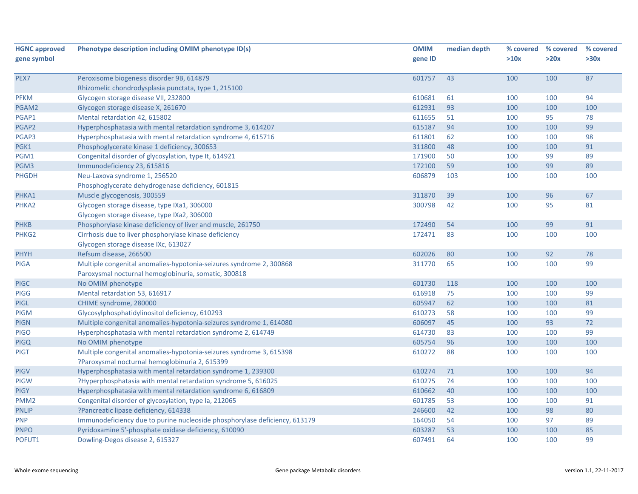| <b>HGNC approved</b> | Phenotype description including OMIM phenotype ID(s)                       | <b>OMIM</b> | median depth | % covered | % covered | % covered |
|----------------------|----------------------------------------------------------------------------|-------------|--------------|-----------|-----------|-----------|
| gene symbol          |                                                                            | gene ID     |              | >10x      | >20x      | >30x      |
|                      |                                                                            |             |              |           |           |           |
| PEX7                 | Peroxisome biogenesis disorder 9B, 614879                                  | 601757      | 43           | 100       | 100       | 87        |
|                      | Rhizomelic chondrodysplasia punctata, type 1, 215100                       |             |              |           |           |           |
| <b>PFKM</b>          | Glycogen storage disease VII, 232800                                       | 610681      | 61           | 100       | 100       | 94        |
| PGAM2                | Glycogen storage disease X, 261670                                         | 612931      | 93           | 100       | 100       | 100       |
| PGAP1                | Mental retardation 42, 615802                                              | 611655      | 51           | 100       | 95        | 78        |
| PGAP2                | Hyperphosphatasia with mental retardation syndrome 3, 614207               | 615187      | 94           | 100       | 100       | 99        |
| PGAP3                | Hyperphosphatasia with mental retardation syndrome 4, 615716               | 611801      | 62           | 100       | 100       | 98        |
| PGK1                 | Phosphoglycerate kinase 1 deficiency, 300653                               | 311800      | 48           | 100       | 100       | 91        |
| PGM1                 | Congenital disorder of glycosylation, type It, 614921                      | 171900      | 50           | 100       | 99        | 89        |
| PGM3                 | Immunodeficiency 23, 615816                                                | 172100      | 59           | 100       | 99        | 89        |
| <b>PHGDH</b>         | Neu-Laxova syndrome 1, 256520                                              | 606879      | 103          | 100       | 100       | 100       |
|                      | Phosphoglycerate dehydrogenase deficiency, 601815                          |             |              |           |           |           |
| PHKA1                | Muscle glycogenosis, 300559                                                | 311870      | 39           | 100       | 96        | 67        |
| PHKA2                | Glycogen storage disease, type IXa1, 306000                                | 300798      | 42           | 100       | 95        | 81        |
|                      | Glycogen storage disease, type IXa2, 306000                                |             |              |           |           |           |
| <b>PHKB</b>          | Phosphorylase kinase deficiency of liver and muscle, 261750                | 172490      | 54           | 100       | 99        | 91        |
| PHKG <sub>2</sub>    | Cirrhosis due to liver phosphorylase kinase deficiency                     | 172471      | 83           | 100       | 100       | 100       |
|                      | Glycogen storage disease IXc, 613027                                       |             |              |           |           |           |
| <b>PHYH</b>          | Refsum disease, 266500                                                     | 602026      | 80           | 100       | 92        | 78        |
| <b>PIGA</b>          | Multiple congenital anomalies-hypotonia-seizures syndrome 2, 300868        | 311770      | 65           | 100       | 100       | 99        |
|                      | Paroxysmal nocturnal hemoglobinuria, somatic, 300818                       |             |              |           |           |           |
| <b>PIGC</b>          | No OMIM phenotype                                                          | 601730      | 118          | 100       | 100       | 100       |
| <b>PIGG</b>          | Mental retardation 53, 616917                                              | 616918      | 75           | 100       | 100       | 99        |
| <b>PIGL</b>          | CHIME syndrome, 280000                                                     | 605947      | 62           | 100       | 100       | 81        |
| <b>PIGM</b>          | Glycosylphosphatidylinositol deficiency, 610293                            | 610273      | 58           | 100       | 100       | 99        |
| <b>PIGN</b>          | Multiple congenital anomalies-hypotonia-seizures syndrome 1, 614080        | 606097      | 45           | 100       | 93        | 72        |
| <b>PIGO</b>          | Hyperphosphatasia with mental retardation syndrome 2, 614749               | 614730      | 83           | 100       | 100       | 99        |
| <b>PIGQ</b>          | No OMIM phenotype                                                          | 605754      | 96           | 100       | 100       | 100       |
| <b>PIGT</b>          | Multiple congenital anomalies-hypotonia-seizures syndrome 3, 615398        | 610272      | 88           | 100       | 100       | 100       |
|                      | ?Paroxysmal nocturnal hemoglobinuria 2, 615399                             |             |              |           |           |           |
| <b>PIGV</b>          | Hyperphosphatasia with mental retardation syndrome 1, 239300               | 610274      | 71           | 100       | 100       | 94        |
| <b>PIGW</b>          | ?Hyperphosphatasia with mental retardation syndrome 5, 616025              | 610275      | 74           | 100       | 100       | 100       |
| <b>PIGY</b>          | Hyperphosphatasia with mental retardation syndrome 6, 616809               | 610662      | 40           | 100       | 100       | 100       |
| PMM <sub>2</sub>     | Congenital disorder of glycosylation, type Ia, 212065                      | 601785      | 53           | 100       | 100       | 91        |
| <b>PNLIP</b>         | ?Pancreatic lipase deficiency, 614338                                      | 246600      | 42           | 100       | 98        | 80        |
| <b>PNP</b>           | Immunodeficiency due to purine nucleoside phosphorylase deficiency, 613179 | 164050      | 54           | 100       | 97        | 89        |
| <b>PNPO</b>          | Pyridoxamine 5'-phosphate oxidase deficiency, 610090                       | 603287      | 53           | 100       | 100       | 85        |
| POFUT1               | Dowling-Degos disease 2, 615327                                            | 607491      | 64           | 100       | 100       | 99        |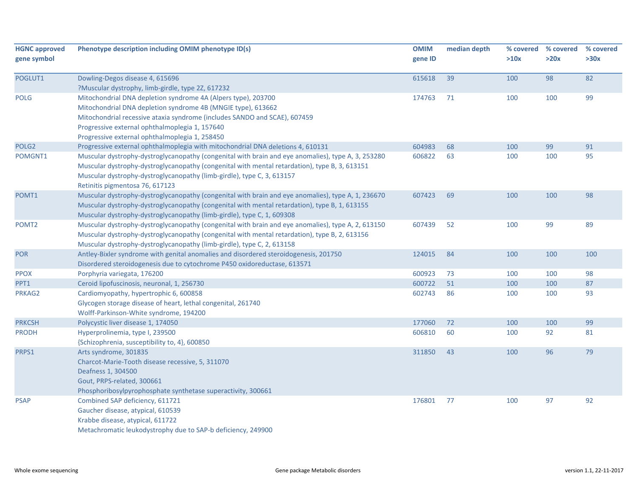| <b>HGNC approved</b><br>gene symbol | Phenotype description including OMIM phenotype ID(s)                                                                                                                                                                                                                                                             | <b>OMIM</b><br>gene ID | median depth | % covered<br>>10x | % covered<br>>20x | % covered<br>>30x |
|-------------------------------------|------------------------------------------------------------------------------------------------------------------------------------------------------------------------------------------------------------------------------------------------------------------------------------------------------------------|------------------------|--------------|-------------------|-------------------|-------------------|
| POGLUT1                             | Dowling-Degos disease 4, 615696<br>?Muscular dystrophy, limb-girdle, type 2Z, 617232                                                                                                                                                                                                                             | 615618                 | 39           | 100               | 98                | 82                |
| <b>POLG</b>                         | Mitochondrial DNA depletion syndrome 4A (Alpers type), 203700<br>Mitochondrial DNA depletion syndrome 4B (MNGIE type), 613662<br>Mitochondrial recessive ataxia syndrome (includes SANDO and SCAE), 607459<br>Progressive external ophthalmoplegia 1, 157640<br>Progressive external ophthalmoplegia 1, 258450   | 174763                 | 71           | 100               | 100               | 99                |
| POLG <sub>2</sub>                   | Progressive external ophthalmoplegia with mitochondrial DNA deletions 4, 610131                                                                                                                                                                                                                                  | 604983                 | 68           | 100               | 99                | 91                |
| POMGNT1                             | Muscular dystrophy-dystroglycanopathy (congenital with brain and eye anomalies), type A, 3, 253280<br>Muscular dystrophy-dystroglycanopathy (congenital with mental retardation), type B, 3, 613151<br>Muscular dystrophy-dystroglycanopathy (limb-girdle), type C, 3, 613157<br>Retinitis pigmentosa 76, 617123 | 606822                 | 63           | 100               | 100               | 95                |
| POMT1                               | Muscular dystrophy-dystroglycanopathy (congenital with brain and eye anomalies), type A, 1, 236670<br>Muscular dystrophy-dystroglycanopathy (congenital with mental retardation), type B, 1, 613155<br>Muscular dystrophy-dystroglycanopathy (limb-girdle), type C, 1, 609308                                    | 607423                 | 69           | 100               | 100               | 98                |
| POMT <sub>2</sub>                   | Muscular dystrophy-dystroglycanopathy (congenital with brain and eye anomalies), type A, 2, 613150<br>Muscular dystrophy-dystroglycanopathy (congenital with mental retardation), type B, 2, 613156<br>Muscular dystrophy-dystroglycanopathy (limb-girdle), type C, 2, 613158                                    | 607439                 | 52           | 100               | 99                | 89                |
| <b>POR</b>                          | Antley-Bixler syndrome with genital anomalies and disordered steroidogenesis, 201750<br>Disordered steroidogenesis due to cytochrome P450 oxidoreductase, 613571                                                                                                                                                 | 124015                 | 84           | 100               | 100               | 100               |
| <b>PPOX</b>                         | Porphyria variegata, 176200                                                                                                                                                                                                                                                                                      | 600923                 | 73           | 100               | 100               | 98                |
| PPT1                                | Ceroid lipofuscinosis, neuronal, 1, 256730                                                                                                                                                                                                                                                                       | 600722                 | 51           | 100               | 100               | 87                |
| PRKAG2                              | Cardiomyopathy, hypertrophic 6, 600858<br>Glycogen storage disease of heart, lethal congenital, 261740<br>Wolff-Parkinson-White syndrome, 194200                                                                                                                                                                 | 602743                 | 86           | 100               | 100               | 93                |
| <b>PRKCSH</b>                       | Polycystic liver disease 1, 174050                                                                                                                                                                                                                                                                               | 177060                 | 72           | 100               | 100               | 99                |
| <b>PRODH</b>                        | Hyperprolinemia, type I, 239500<br>{Schizophrenia, susceptibility to, 4}, 600850                                                                                                                                                                                                                                 | 606810                 | 60           | 100               | 92                | 81                |
| PRPS1                               | Arts syndrome, 301835<br>Charcot-Marie-Tooth disease recessive, 5, 311070<br>Deafness 1, 304500<br>Gout, PRPS-related, 300661<br>Phosphoribosylpyrophosphate synthetase superactivity, 300661                                                                                                                    | 311850                 | 43           | 100               | 96                | 79                |
| <b>PSAP</b>                         | Combined SAP deficiency, 611721<br>Gaucher disease, atypical, 610539<br>Krabbe disease, atypical, 611722<br>Metachromatic leukodystrophy due to SAP-b deficiency, 249900                                                                                                                                         | 176801                 | 77           | 100               | 97                | 92                |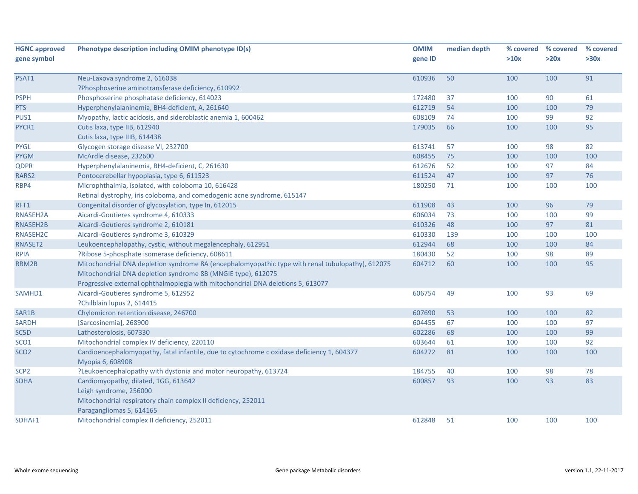| <b>HGNC approved</b> | Phenotype description including OMIM phenotype ID(s)                                             | <b>OMIM</b> | median depth | % covered | % covered | % covered |
|----------------------|--------------------------------------------------------------------------------------------------|-------------|--------------|-----------|-----------|-----------|
| gene symbol          |                                                                                                  | gene ID     |              | >10x      | >20x      | >30x      |
|                      |                                                                                                  |             |              |           |           |           |
| PSAT1                | Neu-Laxova syndrome 2, 616038                                                                    | 610936      | 50           | 100       | 100       | 91        |
|                      | ?Phosphoserine aminotransferase deficiency, 610992                                               |             |              |           |           |           |
| <b>PSPH</b>          | Phosphoserine phosphatase deficiency, 614023                                                     | 172480      | 37           | 100       | 90        | 61        |
| PTS                  | Hyperphenylalaninemia, BH4-deficient, A, 261640                                                  | 612719      | 54           | 100       | 100       | 79        |
| PUS1                 | Myopathy, lactic acidosis, and sideroblastic anemia 1, 600462                                    | 608109      | 74           | 100       | 99        | 92        |
| PYCR1                | Cutis laxa, type IIB, 612940                                                                     | 179035      | 66           | 100       | 100       | 95        |
|                      | Cutis laxa, type IIIB, 614438                                                                    |             |              |           |           |           |
| <b>PYGL</b>          | Glycogen storage disease VI, 232700                                                              | 613741      | 57           | 100       | 98        | 82        |
| <b>PYGM</b>          | McArdle disease, 232600                                                                          | 608455      | 75           | 100       | 100       | 100       |
| <b>QDPR</b>          | Hyperphenylalaninemia, BH4-deficient, C, 261630                                                  | 612676      | 52           | 100       | 97        | 84        |
| RARS2                | Pontocerebellar hypoplasia, type 6, 611523                                                       | 611524      | 47           | 100       | 97        | 76        |
| RBP4                 | Microphthalmia, isolated, with coloboma 10, 616428                                               | 180250      | 71           | 100       | 100       | 100       |
|                      | Retinal dystrophy, iris coloboma, and comedogenic acne syndrome, 615147                          |             |              |           |           |           |
| RFT1                 | Congenital disorder of glycosylation, type In, 612015                                            | 611908      | 43           | 100       | 96        | 79        |
| RNASEH2A             | Aicardi-Goutieres syndrome 4, 610333                                                             | 606034      | 73           | 100       | 100       | 99        |
| RNASEH2B             | Aicardi-Goutieres syndrome 2, 610181                                                             | 610326      | 48           | 100       | 97        | 81        |
| RNASEH <sub>2C</sub> | Aicardi-Goutieres syndrome 3, 610329                                                             | 610330      | 139          | 100       | 100       | 100       |
| RNASET2              | Leukoencephalopathy, cystic, without megalencephaly, 612951                                      | 612944      | 68           | 100       | 100       | 84        |
| <b>RPIA</b>          | ?Ribose 5-phosphate isomerase deficiency, 608611                                                 | 180430      | 52           | 100       | 98        | 89        |
| RRM2B                | Mitochondrial DNA depletion syndrome 8A (encephalomyopathic type with renal tubulopathy), 612075 | 604712      | 60           | 100       | 100       | 95        |
|                      | Mitochondrial DNA depletion syndrome 8B (MNGIE type), 612075                                     |             |              |           |           |           |
|                      | Progressive external ophthalmoplegia with mitochondrial DNA deletions 5, 613077                  |             |              |           |           |           |
| SAMHD1               | Aicardi-Goutieres syndrome 5, 612952                                                             | 606754      | 49           | 100       | 93        | 69        |
|                      | ?Chilblain lupus 2, 614415                                                                       |             |              |           |           |           |
| SAR1B                | Chylomicron retention disease, 246700                                                            | 607690      | 53           | 100       | 100       | 82        |
| <b>SARDH</b>         | [Sarcosinemia], 268900                                                                           | 604455      | 67           | 100       | 100       | 97        |
| SC5D                 | Lathosterolosis, 607330                                                                          | 602286      | 68           | 100       | 100       | 99        |
| SCO <sub>1</sub>     | Mitochondrial complex IV deficiency, 220110                                                      | 603644      | 61           | 100       | 100       | 92        |
| SCO <sub>2</sub>     | Cardioencephalomyopathy, fatal infantile, due to cytochrome c oxidase deficiency 1, 604377       | 604272      | 81           | 100       | 100       | 100       |
|                      | Myopia 6, 608908                                                                                 |             |              |           |           |           |
| SCP <sub>2</sub>     | ?Leukoencephalopathy with dystonia and motor neuropathy, 613724                                  | 184755      | 40           | 100       | 98        | 78        |
| <b>SDHA</b>          | Cardiomyopathy, dilated, 1GG, 613642                                                             | 600857      | 93           | 100       | 93        | 83        |
|                      | Leigh syndrome, 256000                                                                           |             |              |           |           |           |
|                      | Mitochondrial respiratory chain complex II deficiency, 252011                                    |             |              |           |           |           |
|                      | Paragangliomas 5, 614165                                                                         |             |              |           |           |           |
| SDHAF1               | Mitochondrial complex II deficiency, 252011                                                      | 612848      | 51           | 100       | 100       | 100       |
|                      |                                                                                                  |             |              |           |           |           |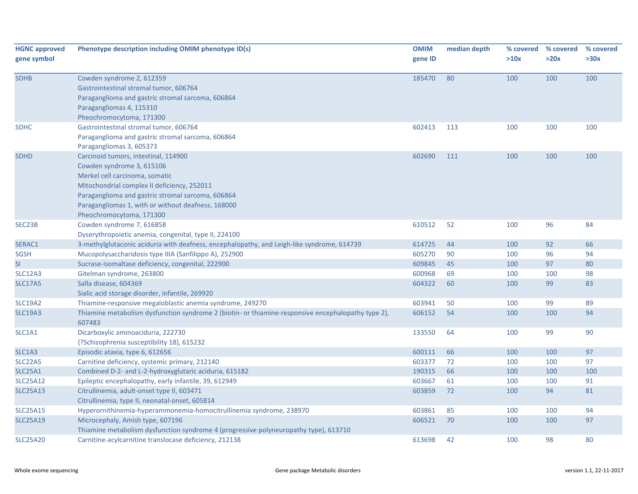| <b>HGNC approved</b><br>gene symbol | Phenotype description including OMIM phenotype ID(s)                                                                                                                                                                                                                                      | <b>OMIM</b><br>gene ID | median depth | >10x | % covered % covered<br>>20x | % covered<br>>30x |
|-------------------------------------|-------------------------------------------------------------------------------------------------------------------------------------------------------------------------------------------------------------------------------------------------------------------------------------------|------------------------|--------------|------|-----------------------------|-------------------|
| <b>SDHB</b>                         | Cowden syndrome 2, 612359<br>Gastrointestinal stromal tumor, 606764<br>Paraganglioma and gastric stromal sarcoma, 606864<br>Paragangliomas 4, 115310<br>Pheochromocytoma, 171300                                                                                                          | 185470                 | 80           | 100  | 100                         | 100               |
| <b>SDHC</b>                         | Gastrointestinal stromal tumor, 606764<br>Paraganglioma and gastric stromal sarcoma, 606864<br>Paragangliomas 3, 605373                                                                                                                                                                   | 602413                 | 113          | 100  | 100                         | 100               |
| <b>SDHD</b>                         | Carcinoid tumors, intestinal, 114900<br>Cowden syndrome 3, 615106<br>Merkel cell carcinoma, somatic<br>Mitochondrial complex II deficiency, 252011<br>Paraganglioma and gastric stromal sarcoma, 606864<br>Paragangliomas 1, with or without deafness, 168000<br>Pheochromocytoma, 171300 | 602690                 | 111          | 100  | 100                         | 100               |
| SEC23B                              | Cowden syndrome 7, 616858<br>Dyserythropoietic anemia, congenital, type II, 224100                                                                                                                                                                                                        | 610512                 | 52           | 100  | 96                          | 84                |
| SERAC1                              | 3-methylglutaconic aciduria with deafness, encephalopathy, and Leigh-like syndrome, 614739                                                                                                                                                                                                | 614725                 | 44           | 100  | 92                          | 66                |
| <b>SGSH</b>                         | Mucopolysaccharidosis type IIIA (Sanfilippo A), 252900                                                                                                                                                                                                                                    | 605270                 | 90           | 100  | 96                          | 94                |
| <b>SI</b>                           | Sucrase-isomaltase deficiency, congenital, 222900                                                                                                                                                                                                                                         | 609845                 | 45           | 100  | 97                          | 80                |
| SLC12A3                             | Gitelman syndrome, 263800                                                                                                                                                                                                                                                                 | 600968                 | 69           | 100  | 100                         | 98                |
| <b>SLC17A5</b>                      | Salla disease, 604369<br>Sialic acid storage disorder, infantile, 269920                                                                                                                                                                                                                  | 604322                 | 60           | 100  | 99                          | 83                |
| <b>SLC19A2</b>                      | Thiamine-responsive megaloblastic anemia syndrome, 249270                                                                                                                                                                                                                                 | 603941                 | 50           | 100  | 99                          | 89                |
| <b>SLC19A3</b>                      | Thiamine metabolism dysfunction syndrome 2 (biotin- or thiamine-responsive encephalopathy type 2),<br>607483                                                                                                                                                                              | 606152                 | 54           | 100  | 100                         | 94                |
| SLC1A1                              | Dicarboxylic aminoaciduria, 222730<br>{?Schizophrenia susceptibility 18}, 615232                                                                                                                                                                                                          | 133550                 | 64           | 100  | 99                          | 90                |
| SLC1A3                              | Episodic ataxia, type 6, 612656                                                                                                                                                                                                                                                           | 600111                 | 66           | 100  | 100                         | 97                |
| SLC <sub>22</sub> A <sub>5</sub>    | Carnitine deficiency, systemic primary, 212140                                                                                                                                                                                                                                            | 603377                 | 72           | 100  | 100                         | 97                |
| <b>SLC25A1</b>                      | Combined D-2- and L-2-hydroxyglutaric aciduria, 615182                                                                                                                                                                                                                                    | 190315                 | 66           | 100  | 100                         | 100               |
| <b>SLC25A12</b>                     | Epileptic encephalopathy, early infantile, 39, 612949                                                                                                                                                                                                                                     | 603667                 | 61           | 100  | 100                         | 91                |
| <b>SLC25A13</b>                     | Citrullinemia, adult-onset type II, 603471<br>Citrullinemia, type II, neonatal-onset, 605814                                                                                                                                                                                              | 603859                 | 72           | 100  | 94                          | 81                |
| <b>SLC25A15</b>                     | Hyperornithinemia-hyperammonemia-homocitrullinemia syndrome, 238970                                                                                                                                                                                                                       | 603861                 | 85           | 100  | 100                         | 94                |
| <b>SLC25A19</b>                     | Microcephaly, Amish type, 607196<br>Thiamine metabolism dysfunction syndrome 4 (progressive polyneuropathy type), 613710                                                                                                                                                                  | 606521                 | 70           | 100  | 100                         | 97                |
| <b>SLC25A20</b>                     | Carnitine-acylcarnitine translocase deficiency, 212138                                                                                                                                                                                                                                    | 613698                 | 42           | 100  | 98                          | 80                |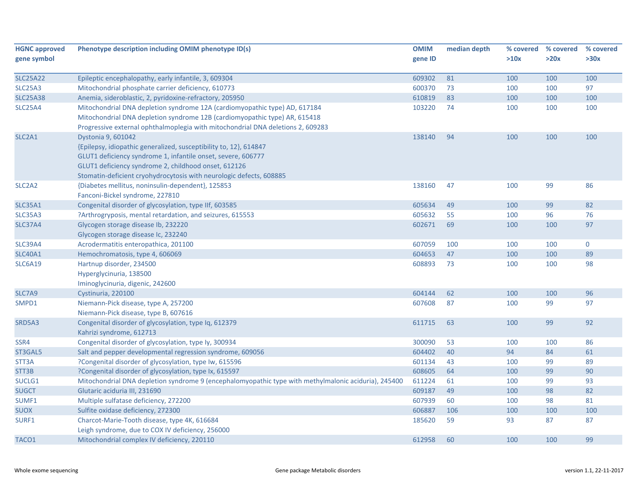| <b>HGNC approved</b>            | Phenotype description including OMIM phenotype ID(s)                                                 | <b>OMIM</b> | median depth | % covered | % covered | % covered   |
|---------------------------------|------------------------------------------------------------------------------------------------------|-------------|--------------|-----------|-----------|-------------|
| gene symbol                     |                                                                                                      | gene ID     |              | >10x      | >20x      | >30x        |
| <b>SLC25A22</b>                 | Epileptic encephalopathy, early infantile, 3, 609304                                                 | 609302      | 81           | 100       | 100       | 100         |
| <b>SLC25A3</b>                  | Mitochondrial phosphate carrier deficiency, 610773                                                   | 600370      | 73           | 100       | 100       | 97          |
| <b>SLC25A38</b>                 | Anemia, sideroblastic, 2, pyridoxine-refractory, 205950                                              | 610819      | 83           | 100       | 100       | 100         |
| <b>SLC25A4</b>                  | Mitochondrial DNA depletion syndrome 12A (cardiomyopathic type) AD, 617184                           | 103220      | 74           | 100       | 100       | 100         |
|                                 | Mitochondrial DNA depletion syndrome 12B (cardiomyopathic type) AR, 615418                           |             |              |           |           |             |
|                                 | Progressive external ophthalmoplegia with mitochondrial DNA deletions 2, 609283                      |             |              |           |           |             |
| SLC2A1                          | Dystonia 9, 601042                                                                                   | 138140      | 94           | 100       | 100       | 100         |
|                                 | {Epilepsy, idiopathic generalized, susceptibility to, 12}, 614847                                    |             |              |           |           |             |
|                                 | GLUT1 deficiency syndrome 1, infantile onset, severe, 606777                                         |             |              |           |           |             |
|                                 | GLUT1 deficiency syndrome 2, childhood onset, 612126                                                 |             |              |           |           |             |
|                                 | Stomatin-deficient cryohydrocytosis with neurologic defects, 608885                                  |             |              |           |           |             |
| SLC <sub>2</sub> A <sub>2</sub> | {Diabetes mellitus, noninsulin-dependent}, 125853                                                    | 138160      | 47           | 100       | 99        | 86          |
|                                 | Fanconi-Bickel syndrome, 227810                                                                      |             |              |           |           |             |
| <b>SLC35A1</b>                  | Congenital disorder of glycosylation, type IIf, 603585                                               | 605634      | 49           | 100       | 99        | 82          |
| SLC35A3                         | ?Arthrogryposis, mental retardation, and seizures, 615553                                            | 605632      | 55           | 100       | 96        | 76          |
| SLC37A4                         | Glycogen storage disease Ib, 232220                                                                  | 602671      | 69           | 100       | 100       | 97          |
|                                 | Glycogen storage disease Ic, 232240                                                                  |             |              |           |           |             |
| <b>SLC39A4</b>                  | Acrodermatitis enteropathica, 201100                                                                 | 607059      | 100          | 100       | 100       | $\mathbf 0$ |
| <b>SLC40A1</b>                  | Hemochromatosis, type 4, 606069                                                                      | 604653      | 47           | 100       | 100       | 89          |
| <b>SLC6A19</b>                  | Hartnup disorder, 234500                                                                             | 608893      | 73           | 100       | 100       | 98          |
|                                 | Hyperglycinuria, 138500                                                                              |             |              |           |           |             |
|                                 | Iminoglycinuria, digenic, 242600                                                                     |             |              |           |           |             |
| SLC7A9                          | Cystinuria, 220100                                                                                   | 604144      | 62           | 100       | 100       | 96          |
| SMPD1                           | Niemann-Pick disease, type A, 257200                                                                 | 607608      | 87           | 100       | 99        | 97          |
|                                 | Niemann-Pick disease, type B, 607616                                                                 |             |              |           |           |             |
| SRD5A3                          | Congenital disorder of glycosylation, type Iq, 612379                                                | 611715      | 63           | 100       | 99        | 92          |
|                                 | Kahrizi syndrome, 612713                                                                             |             |              |           |           |             |
| SSR4                            | Congenital disorder of glycosylation, type ly, 300934                                                | 300090      | 53           | 100       | 100       | 86          |
| ST3GAL5                         | Salt and pepper developmental regression syndrome, 609056                                            | 604402      | 40           | 94        | 84        | 61          |
| STT3A                           | ?Congenital disorder of glycosylation, type Iw, 615596                                               | 601134      | 43           | 100       | 99        | 89          |
| STT3B                           | ?Congenital disorder of glycosylation, type Ix, 615597                                               | 608605      | 64           | 100       | 99        | 90          |
| SUCLG1                          | Mitochondrial DNA depletion syndrome 9 (encephalomyopathic type with methylmalonic aciduria), 245400 | 611224      | 61           | 100       | 99        | 93          |
| <b>SUGCT</b>                    | Glutaric aciduria III, 231690                                                                        | 609187      | 49           | 100       | 98        | 82          |
| SUMF1                           | Multiple sulfatase deficiency, 272200                                                                | 607939      | 60           | 100       | 98        | 81          |
| <b>SUOX</b>                     | Sulfite oxidase deficiency, 272300                                                                   | 606887      | 106          | 100       | 100       | 100         |
| SURF1                           | Charcot-Marie-Tooth disease, type 4K, 616684                                                         | 185620      | 59           | 93        | 87        | 87          |
|                                 | Leigh syndrome, due to COX IV deficiency, 256000                                                     |             |              |           |           |             |
| TACO1                           | Mitochondrial complex IV deficiency, 220110                                                          | 612958      | 60           | 100       | 100       | 99          |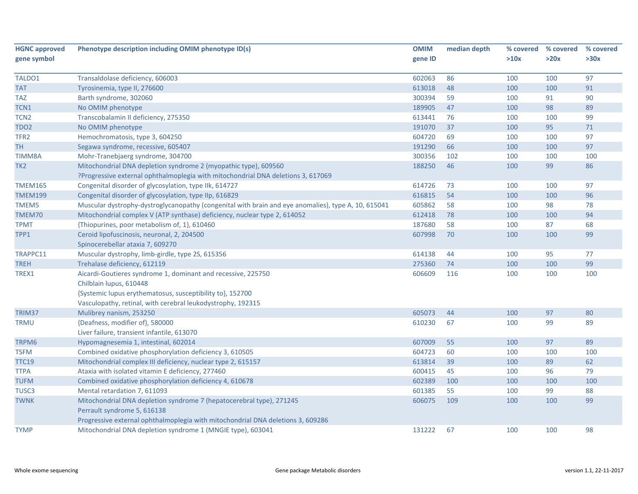| <b>HGNC approved</b> | Phenotype description including OMIM phenotype ID(s)                                                | <b>OMIM</b> | median depth | % covered | % covered | % covered |
|----------------------|-----------------------------------------------------------------------------------------------------|-------------|--------------|-----------|-----------|-----------|
| gene symbol          |                                                                                                     | gene ID     |              | >10x      | >20x      | >30x      |
|                      |                                                                                                     |             |              |           |           |           |
| TALDO1               | Transaldolase deficiency, 606003                                                                    | 602063      | 86           | 100       | 100       | 97        |
| <b>TAT</b>           | Tyrosinemia, type II, 276600                                                                        | 613018      | 48           | 100       | 100       | 91        |
| <b>TAZ</b>           | Barth syndrome, 302060                                                                              | 300394      | 59           | 100       | 91        | 90        |
| TCN1                 | No OMIM phenotype                                                                                   | 189905      | 47           | 100       | 98        | 89        |
| TCN <sub>2</sub>     | Transcobalamin II deficiency, 275350                                                                | 613441      | 76           | 100       | 100       | 99        |
| TDO <sub>2</sub>     | No OMIM phenotype                                                                                   | 191070      | 37           | 100       | 95        | $71\,$    |
| TFR <sub>2</sub>     | Hemochromatosis, type 3, 604250                                                                     | 604720      | 69           | 100       | 100       | 97        |
| <b>TH</b>            | Segawa syndrome, recessive, 605407                                                                  | 191290      | 66           | 100       | 100       | 97        |
| <b>TIMM8A</b>        | Mohr-Tranebjaerg syndrome, 304700                                                                   | 300356      | 102          | 100       | 100       | 100       |
| TK <sub>2</sub>      | Mitochondrial DNA depletion syndrome 2 (myopathic type), 609560                                     | 188250      | 46           | 100       | 99        | 86        |
|                      | ?Progressive external ophthalmoplegia with mitochondrial DNA deletions 3, 617069                    |             |              |           |           |           |
| <b>TMEM165</b>       | Congenital disorder of glycosylation, type IIk, 614727                                              | 614726      | 73           | 100       | 100       | 97        |
| <b>TMEM199</b>       | Congenital disorder of glycosylation, type IIp, 616829                                              | 616815      | 54           | 100       | 100       | 96        |
| TMEM5                | Muscular dystrophy-dystroglycanopathy (congenital with brain and eye anomalies), type A, 10, 615041 | 605862      | 58           | 100       | 98        | 78        |
| TMEM70               | Mitochondrial complex V (ATP synthase) deficiency, nuclear type 2, 614052                           | 612418      | 78           | 100       | 100       | 94        |
| <b>TPMT</b>          | {Thiopurines, poor metabolism of, 1}, 610460                                                        | 187680      | 58           | 100       | 87        | 68        |
| TPP1                 | Ceroid lipofuscinosis, neuronal, 2, 204500                                                          | 607998      | 70           | 100       | 100       | 99        |
|                      | Spinocerebellar ataxia 7, 609270                                                                    |             |              |           |           |           |
| TRAPPC11             | Muscular dystrophy, limb-girdle, type 2S, 615356                                                    | 614138      | 44           | 100       | 95        | 77        |
| <b>TREH</b>          | Trehalase deficiency, 612119                                                                        | 275360      | 74           | 100       | 100       | 99        |
| TREX1                | Aicardi-Goutieres syndrome 1, dominant and recessive, 225750                                        | 606609      | 116          | 100       | 100       | 100       |
|                      | Chilblain lupus, 610448                                                                             |             |              |           |           |           |
|                      | {Systemic lupus erythematosus, susceptibility to}, 152700                                           |             |              |           |           |           |
|                      | Vasculopathy, retinal, with cerebral leukodystrophy, 192315                                         |             |              |           |           |           |
| TRIM37               | Mulibrey nanism, 253250                                                                             | 605073      | 44           | 100       | 97        | 80        |
| TRMU                 | {Deafness, modifier of}, 580000                                                                     | 610230      | 67           | 100       | 99        | 89        |
|                      | Liver failure, transient infantile, 613070                                                          |             |              |           |           |           |
| TRPM6                | Hypomagnesemia 1, intestinal, 602014                                                                | 607009      | 55           | 100       | 97        | 89        |
| TSFM                 | Combined oxidative phosphorylation deficiency 3, 610505                                             | 604723      | 60           | 100       | 100       | 100       |
| <b>TTC19</b>         | Mitochondrial complex III deficiency, nuclear type 2, 615157                                        | 613814      | 39           | 100       | 89        | 62        |
| <b>TTPA</b>          | Ataxia with isolated vitamin E deficiency, 277460                                                   | 600415      | 45           | 100       | 96        | 79        |
| <b>TUFM</b>          | Combined oxidative phosphorylation deficiency 4, 610678                                             | 602389      | 100          | 100       | 100       | 100       |
| TUSC <sub>3</sub>    | Mental retardation 7, 611093                                                                        | 601385      | 55           | 100       | 99        | 88        |
| <b>TWNK</b>          | Mitochondrial DNA depletion syndrome 7 (hepatocerebral type), 271245                                | 606075      | 109          | 100       | 100       | 99        |
|                      | Perrault syndrome 5, 616138                                                                         |             |              |           |           |           |
|                      | Progressive external ophthalmoplegia with mitochondrial DNA deletions 3, 609286                     |             |              |           |           |           |
|                      |                                                                                                     |             |              |           |           |           |
| <b>TYMP</b>          | Mitochondrial DNA depletion syndrome 1 (MNGIE type), 603041                                         | 131222      | 67           | 100       | 100       | 98        |